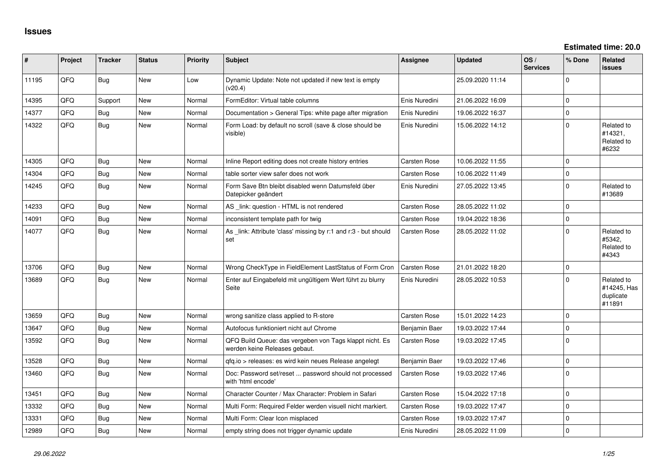| ∥ #   | Project | <b>Tracker</b> | <b>Status</b> | <b>Priority</b> | <b>Subject</b>                                                                           | <b>Assignee</b>     | <b>Updated</b>   | OS/<br><b>Services</b> | % Done      | <b>Related</b><br><b>issues</b>                  |
|-------|---------|----------------|---------------|-----------------|------------------------------------------------------------------------------------------|---------------------|------------------|------------------------|-------------|--------------------------------------------------|
| 11195 | QFQ     | <b>Bug</b>     | New           | Low             | Dynamic Update: Note not updated if new text is empty<br>(v20.4)                         |                     | 25.09.2020 11:14 |                        | $\mathbf 0$ |                                                  |
| 14395 | QFQ     | Support        | New           | Normal          | FormEditor: Virtual table columns                                                        | Enis Nuredini       | 21.06.2022 16:09 |                        | $\mathbf 0$ |                                                  |
| 14377 | QFQ     | Bug            | <b>New</b>    | Normal          | Documentation > General Tips: white page after migration                                 | Enis Nuredini       | 19.06.2022 16:37 |                        | $\mathbf 0$ |                                                  |
| 14322 | QFQ     | <b>Bug</b>     | <b>New</b>    | Normal          | Form Load: by default no scroll (save & close should be<br>visible)                      | Enis Nuredini       | 15.06.2022 14:12 |                        | $\mathbf 0$ | Related to<br>#14321,<br>Related to<br>#6232     |
| 14305 | QFQ     | Bug            | <b>New</b>    | Normal          | Inline Report editing does not create history entries                                    | <b>Carsten Rose</b> | 10.06.2022 11:55 |                        | $\Omega$    |                                                  |
| 14304 | QFQ     | <b>Bug</b>     | <b>New</b>    | Normal          | table sorter view safer does not work                                                    | <b>Carsten Rose</b> | 10.06.2022 11:49 |                        | $\mathbf 0$ |                                                  |
| 14245 | QFQ     | <b>Bug</b>     | New           | Normal          | Form Save Btn bleibt disabled wenn Datumsfeld über<br>Datepicker geändert                | Enis Nuredini       | 27.05.2022 13:45 |                        | $\Omega$    | Related to<br>#13689                             |
| 14233 | QFQ     | Bug            | New           | Normal          | AS _link: question - HTML is not rendered                                                | Carsten Rose        | 28.05.2022 11:02 |                        | $\pmb{0}$   |                                                  |
| 14091 | QFQ     | <b>Bug</b>     | New           | Normal          | inconsistent template path for twig                                                      | Carsten Rose        | 19.04.2022 18:36 |                        | $\pmb{0}$   |                                                  |
| 14077 | QFQ     | <b>Bug</b>     | New           | Normal          | As link: Attribute 'class' missing by r:1 and r:3 - but should<br>set                    | <b>Carsten Rose</b> | 28.05.2022 11:02 |                        | $\mathbf 0$ | Related to<br>#5342,<br>Related to<br>#4343      |
| 13706 | QFQ     | Bug            | <b>New</b>    | Normal          | Wrong CheckType in FieldElement LastStatus of Form Cron                                  | <b>Carsten Rose</b> | 21.01.2022 18:20 |                        | $\pmb{0}$   |                                                  |
| 13689 | QFQ     | <b>Bug</b>     | New           | Normal          | Enter auf Eingabefeld mit ungültigem Wert führt zu blurry<br>Seite                       | Enis Nuredini       | 28.05.2022 10:53 |                        | $\mathbf 0$ | Related to<br>#14245, Has<br>duplicate<br>#11891 |
| 13659 | QFQ     | Bug            | New           | Normal          | wrong sanitize class applied to R-store                                                  | Carsten Rose        | 15.01.2022 14:23 |                        | $\mathbf 0$ |                                                  |
| 13647 | QFQ     | Bug            | New           | Normal          | Autofocus funktioniert nicht auf Chrome                                                  | Benjamin Baer       | 19.03.2022 17:44 |                        | $\mathbf 0$ |                                                  |
| 13592 | QFQ     | Bug            | New           | Normal          | QFQ Build Queue: das vergeben von Tags klappt nicht. Es<br>werden keine Releases gebaut. | Carsten Rose        | 19.03.2022 17:45 |                        | $\mathbf 0$ |                                                  |
| 13528 | QFQ     | <b>Bug</b>     | <b>New</b>    | Normal          | qfq.io > releases: es wird kein neues Release angelegt                                   | Benjamin Baer       | 19.03.2022 17:46 |                        | $\mathbf 0$ |                                                  |
| 13460 | QFQ     | Bug            | New           | Normal          | Doc: Password set/reset  password should not processed<br>with 'html encode'             | Carsten Rose        | 19.03.2022 17:46 |                        | $\mathbf 0$ |                                                  |
| 13451 | QFQ     | <b>Bug</b>     | New           | Normal          | Character Counter / Max Character: Problem in Safari                                     | <b>Carsten Rose</b> | 15.04.2022 17:18 |                        | $\mathbf 0$ |                                                  |
| 13332 | QFQ     | <b>Bug</b>     | New           | Normal          | Multi Form: Required Felder werden visuell nicht markiert.                               | Carsten Rose        | 19.03.2022 17:47 |                        | $\mathbf 0$ |                                                  |
| 13331 | QFQ     | <b>Bug</b>     | New           | Normal          | Multi Form: Clear Icon misplaced                                                         | <b>Carsten Rose</b> | 19.03.2022 17:47 |                        | $\pmb{0}$   |                                                  |
| 12989 | QFQ     | Bug            | <b>New</b>    | Normal          | empty string does not trigger dynamic update                                             | Enis Nuredini       | 28.05.2022 11:09 |                        | $\pmb{0}$   |                                                  |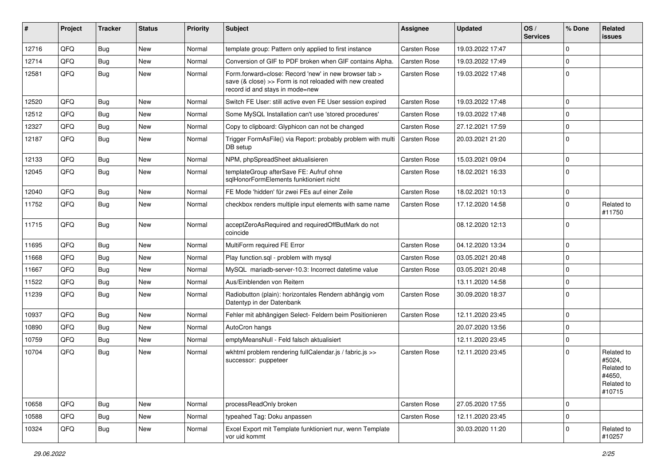| #     | Project | <b>Tracker</b> | <b>Status</b> | <b>Priority</b> | Subject                                                                                                                                             | Assignee            | <b>Updated</b>   | OS/<br><b>Services</b> | % Done       | Related<br>issues                                                    |
|-------|---------|----------------|---------------|-----------------|-----------------------------------------------------------------------------------------------------------------------------------------------------|---------------------|------------------|------------------------|--------------|----------------------------------------------------------------------|
| 12716 | QFQ     | Bug            | <b>New</b>    | Normal          | template group: Pattern only applied to first instance                                                                                              | <b>Carsten Rose</b> | 19.03.2022 17:47 |                        | $\mathbf 0$  |                                                                      |
| 12714 | QFQ     | Bug            | New           | Normal          | Conversion of GIF to PDF broken when GIF contains Alpha.                                                                                            | <b>Carsten Rose</b> | 19.03.2022 17:49 |                        | $\mathbf 0$  |                                                                      |
| 12581 | QFQ     | Bug            | New           | Normal          | Form.forward=close: Record 'new' in new browser tab ><br>save (& close) >> Form is not reloaded with new created<br>record id and stays in mode=new | Carsten Rose        | 19.03.2022 17:48 |                        | $\mathbf 0$  |                                                                      |
| 12520 | QFQ     | Bug            | <b>New</b>    | Normal          | Switch FE User: still active even FE User session expired                                                                                           | <b>Carsten Rose</b> | 19.03.2022 17:48 |                        | $\mathbf 0$  |                                                                      |
| 12512 | QFQ     | <b>Bug</b>     | <b>New</b>    | Normal          | Some MySQL Installation can't use 'stored procedures'                                                                                               | <b>Carsten Rose</b> | 19.03.2022 17:48 |                        | $\mathbf 0$  |                                                                      |
| 12327 | QFQ     | <b>Bug</b>     | New           | Normal          | Copy to clipboard: Glyphicon can not be changed                                                                                                     | <b>Carsten Rose</b> | 27.12.2021 17:59 |                        | $\mathbf 0$  |                                                                      |
| 12187 | QFQ     | <b>Bug</b>     | <b>New</b>    | Normal          | Trigger FormAsFile() via Report: probably problem with multi<br>DB setup                                                                            | <b>Carsten Rose</b> | 20.03.2021 21:20 |                        | $\mathbf 0$  |                                                                      |
| 12133 | QFQ     | <b>Bug</b>     | <b>New</b>    | Normal          | NPM, phpSpreadSheet aktualisieren                                                                                                                   | <b>Carsten Rose</b> | 15.03.2021 09:04 |                        | $\mathbf 0$  |                                                                      |
| 12045 | QFQ     | <b>Bug</b>     | New           | Normal          | templateGroup afterSave FE: Aufruf ohne<br>sqlHonorFormElements funktioniert nicht                                                                  | <b>Carsten Rose</b> | 18.02.2021 16:33 |                        | $\mathbf 0$  |                                                                      |
| 12040 | QFQ     | <b>Bug</b>     | <b>New</b>    | Normal          | FE Mode 'hidden' für zwei FEs auf einer Zeile                                                                                                       | Carsten Rose        | 18.02.2021 10:13 |                        | $\mathbf 0$  |                                                                      |
| 11752 | QFQ     | <b>Bug</b>     | New           | Normal          | checkbox renders multiple input elements with same name                                                                                             | Carsten Rose        | 17.12.2020 14:58 |                        | $\mathbf 0$  | Related to<br>#11750                                                 |
| 11715 | QFQ     | <b>Bug</b>     | <b>New</b>    | Normal          | acceptZeroAsRequired and requiredOffButMark do not<br>coincide                                                                                      |                     | 08.12.2020 12:13 |                        | $\mathbf 0$  |                                                                      |
| 11695 | QFQ     | <b>Bug</b>     | <b>New</b>    | Normal          | MultiForm required FE Error                                                                                                                         | <b>Carsten Rose</b> | 04.12.2020 13:34 |                        | $\mathbf 0$  |                                                                      |
| 11668 | QFQ     | <b>Bug</b>     | <b>New</b>    | Normal          | Play function.sql - problem with mysql                                                                                                              | <b>Carsten Rose</b> | 03.05.2021 20:48 |                        | $\mathbf 0$  |                                                                      |
| 11667 | QFQ     | Bug            | New           | Normal          | MySQL mariadb-server-10.3: Incorrect datetime value                                                                                                 | Carsten Rose        | 03.05.2021 20:48 |                        | $\mathbf 0$  |                                                                      |
| 11522 | QFQ     | <b>Bug</b>     | New           | Normal          | Aus/Einblenden von Reitern                                                                                                                          |                     | 13.11.2020 14:58 |                        | $\mathbf 0$  |                                                                      |
| 11239 | QFQ     | Bug            | New           | Normal          | Radiobutton (plain): horizontales Rendern abhängig vom<br>Datentyp in der Datenbank                                                                 | <b>Carsten Rose</b> | 30.09.2020 18:37 |                        | $\mathbf 0$  |                                                                      |
| 10937 | QFQ     | <b>Bug</b>     | <b>New</b>    | Normal          | Fehler mit abhängigen Select- Feldern beim Positionieren                                                                                            | <b>Carsten Rose</b> | 12.11.2020 23:45 |                        | $\mathbf 0$  |                                                                      |
| 10890 | QFQ     | Bug            | New           | Normal          | AutoCron hangs                                                                                                                                      |                     | 20.07.2020 13:56 |                        | $\mathbf 0$  |                                                                      |
| 10759 | QFQ     | <b>Bug</b>     | New           | Normal          | emptyMeansNull - Feld falsch aktualisiert                                                                                                           |                     | 12.11.2020 23:45 |                        | $\mathbf 0$  |                                                                      |
| 10704 | QFQ     | <b>Bug</b>     | New           | Normal          | wkhtml problem rendering fullCalendar.js / fabric.js >><br>successor: puppeteer                                                                     | <b>Carsten Rose</b> | 12.11.2020 23:45 |                        | $\mathbf 0$  | Related to<br>#5024,<br>Related to<br>#4650,<br>Related to<br>#10715 |
| 10658 | QFQ     | Bug            | New           | Normal          | processReadOnly broken                                                                                                                              | Carsten Rose        | 27.05.2020 17:55 |                        | $\mathbf{0}$ |                                                                      |
| 10588 | QFQ     | <b>Bug</b>     | New           | Normal          | typeahed Tag: Doku anpassen                                                                                                                         | Carsten Rose        | 12.11.2020 23:45 |                        | $\mathbf 0$  |                                                                      |
| 10324 | QFQ     | <b>Bug</b>     | New           | Normal          | Excel Export mit Template funktioniert nur, wenn Template<br>vor uid kommt                                                                          |                     | 30.03.2020 11:20 |                        | $\mathbf 0$  | Related to<br>#10257                                                 |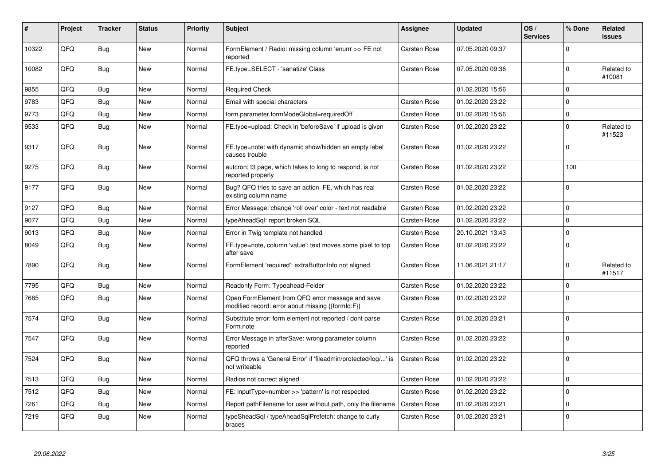| #     | Project | <b>Tracker</b> | <b>Status</b> | <b>Priority</b> | <b>Subject</b>                                                                                        | Assignee            | <b>Updated</b>   | OS/<br><b>Services</b> | % Done         | Related<br><b>issues</b> |
|-------|---------|----------------|---------------|-----------------|-------------------------------------------------------------------------------------------------------|---------------------|------------------|------------------------|----------------|--------------------------|
| 10322 | QFQ     | <b>Bug</b>     | <b>New</b>    | Normal          | FormElement / Radio: missing column 'enum' >> FE not<br>reported                                      | Carsten Rose        | 07.05.2020 09:37 |                        | $\Omega$       |                          |
| 10082 | QFQ     | <b>Bug</b>     | <b>New</b>    | Normal          | FE.type=SELECT - 'sanatize' Class                                                                     | Carsten Rose        | 07.05.2020 09:36 |                        | $\mathbf 0$    | Related to<br>#10081     |
| 9855  | QFQ     | <b>Bug</b>     | <b>New</b>    | Normal          | <b>Required Check</b>                                                                                 |                     | 01.02.2020 15:56 |                        | $\mathbf 0$    |                          |
| 9783  | QFQ     | Bug            | <b>New</b>    | Normal          | Email with special characters                                                                         | <b>Carsten Rose</b> | 01.02.2020 23:22 |                        | $\mathbf 0$    |                          |
| 9773  | QFQ     | <b>Bug</b>     | <b>New</b>    | Normal          | form.parameter.formModeGlobal=requiredOff                                                             | Carsten Rose        | 01.02.2020 15:56 |                        | $\overline{0}$ |                          |
| 9533  | QFQ     | Bug            | New           | Normal          | FE.type=upload: Check in 'beforeSave' if upload is given                                              | Carsten Rose        | 01.02.2020 23:22 |                        | $\mathbf 0$    | Related to<br>#11523     |
| 9317  | QFQ     | Bug            | <b>New</b>    | Normal          | FE.type=note: with dynamic show/hidden an empty label<br>causes trouble                               | Carsten Rose        | 01.02.2020 23:22 |                        | $\mathbf 0$    |                          |
| 9275  | QFQ     | Bug            | <b>New</b>    | Normal          | autcron: t3 page, which takes to long to respond, is not<br>reported properly                         | Carsten Rose        | 01.02.2020 23:22 |                        | 100            |                          |
| 9177  | QFQ     | Bug            | <b>New</b>    | Normal          | Bug? QFQ tries to save an action FE, which has real<br>existing column name                           | Carsten Rose        | 01.02.2020 23:22 |                        | $\mathbf 0$    |                          |
| 9127  | QFQ     | <b>Bug</b>     | <b>New</b>    | Normal          | Error Message: change 'roll over' color - text not readable                                           | Carsten Rose        | 01.02.2020 23:22 |                        | $\overline{0}$ |                          |
| 9077  | QFQ     | Bug            | <b>New</b>    | Normal          | typeAheadSql: report broken SQL                                                                       | Carsten Rose        | 01.02.2020 23:22 |                        | $\mathbf 0$    |                          |
| 9013  | QFQ     | Bug            | <b>New</b>    | Normal          | Error in Twig template not handled                                                                    | <b>Carsten Rose</b> | 20.10.2021 13:43 |                        | $\mathbf 0$    |                          |
| 8049  | QFQ     | Bug            | New           | Normal          | FE.type=note, column 'value': text moves some pixel to top<br>after save                              | <b>Carsten Rose</b> | 01.02.2020 23:22 |                        | 0              |                          |
| 7890  | QFQ     | Bug            | <b>New</b>    | Normal          | FormElement 'required': extraButtonInfo not aligned                                                   | Carsten Rose        | 11.06.2021 21:17 |                        | $\mathbf 0$    | Related to<br>#11517     |
| 7795  | QFQ     | Bug            | <b>New</b>    | Normal          | Readonly Form: Typeahead-Felder                                                                       | Carsten Rose        | 01.02.2020 23:22 |                        | $\mathbf 0$    |                          |
| 7685  | QFQ     | Bug            | New           | Normal          | Open FormElement from QFQ error message and save<br>modified record: error about missing {{formId:F}} | Carsten Rose        | 01.02.2020 23:22 |                        | $\mathbf 0$    |                          |
| 7574  | QFQ     | <b>Bug</b>     | New           | Normal          | Substitute error: form element not reported / dont parse<br>Form.note                                 | Carsten Rose        | 01.02.2020 23:21 |                        | $\mathbf 0$    |                          |
| 7547  | QFQ     | Bug            | <b>New</b>    | Normal          | Error Message in afterSave: wrong parameter column<br>reported                                        | Carsten Rose        | 01.02.2020 23:22 |                        | $\overline{0}$ |                          |
| 7524  | QFQ     | Bug            | <b>New</b>    | Normal          | QFQ throws a 'General Error' if 'fileadmin/protected/log/' is<br>not writeable                        | <b>Carsten Rose</b> | 01.02.2020 23:22 |                        | $\overline{0}$ |                          |
| 7513  | QFQ     | Bug            | <b>New</b>    | Normal          | Radios not correct aligned                                                                            | Carsten Rose        | 01.02.2020 23:22 |                        | $\mathbf 0$    |                          |
| 7512  | QFQ     | Bug            | <b>New</b>    | Normal          | FE: inputType=number >> 'pattern' is not respected                                                    | <b>Carsten Rose</b> | 01.02.2020 23:22 |                        | $\mathbf 0$    |                          |
| 7261  | QFQ     | Bug            | <b>New</b>    | Normal          | Report pathFilename for user without path, only the filename                                          | <b>Carsten Rose</b> | 01.02.2020 23:21 |                        | 0              |                          |
| 7219  | QFQ     | <b>Bug</b>     | New           | Normal          | typeSheadSql / typeAheadSqlPrefetch: change to curly<br>braces                                        | Carsten Rose        | 01.02.2020 23:21 |                        | $\mathbf 0$    |                          |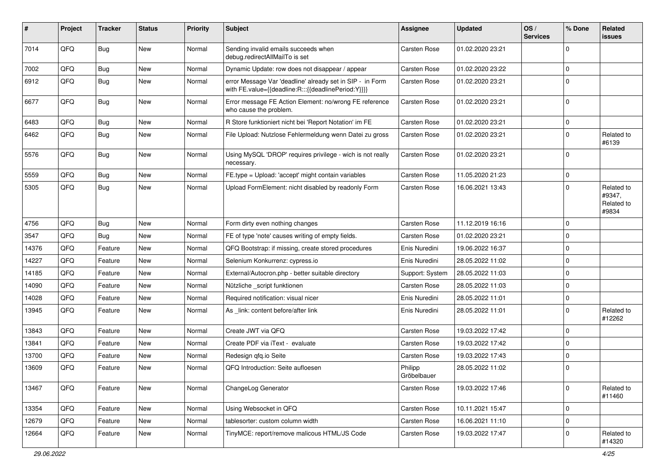| #     | Project | <b>Tracker</b> | <b>Status</b> | <b>Priority</b> | <b>Subject</b>                                                                                                   | Assignee               | <b>Updated</b>   | OS/<br><b>Services</b> | % Done      | Related<br><b>issues</b>                    |
|-------|---------|----------------|---------------|-----------------|------------------------------------------------------------------------------------------------------------------|------------------------|------------------|------------------------|-------------|---------------------------------------------|
| 7014  | QFQ     | Bug            | <b>New</b>    | Normal          | Sending invalid emails succeeds when<br>debug.redirectAllMailTo is set                                           | Carsten Rose           | 01.02.2020 23:21 |                        | $\mathbf 0$ |                                             |
| 7002  | QFQ     | <b>Bug</b>     | <b>New</b>    | Normal          | Dynamic Update: row does not disappear / appear                                                                  | Carsten Rose           | 01.02.2020 23:22 |                        | $\mathbf 0$ |                                             |
| 6912  | QFQ     | Bug            | <b>New</b>    | Normal          | error Message Var 'deadline' already set in SIP - in Form<br>with FE.value={{deadline:R:::{{deadlinePeriod:Y}}}} | Carsten Rose           | 01.02.2020 23:21 |                        | $\mathbf 0$ |                                             |
| 6677  | QFQ     | Bug            | New           | Normal          | Error message FE Action Element: no/wrong FE reference<br>who cause the problem.                                 | Carsten Rose           | 01.02.2020 23:21 |                        | $\mathbf 0$ |                                             |
| 6483  | QFQ     | <b>Bug</b>     | <b>New</b>    | Normal          | R Store funktioniert nicht bei 'Report Notation' im FE                                                           | Carsten Rose           | 01.02.2020 23:21 |                        | $\mathbf 0$ |                                             |
| 6462  | QFQ     | Bug            | New           | Normal          | File Upload: Nutzlose Fehlermeldung wenn Datei zu gross                                                          | Carsten Rose           | 01.02.2020 23:21 |                        | $\mathbf 0$ | Related to<br>#6139                         |
| 5576  | QFQ     | Bug            | <b>New</b>    | Normal          | Using MySQL 'DROP' requires privilege - wich is not really<br>necessary.                                         | Carsten Rose           | 01.02.2020 23:21 |                        | $\mathbf 0$ |                                             |
| 5559  | QFQ     | Bug            | New           | Normal          | FE.type = Upload: 'accept' might contain variables                                                               | Carsten Rose           | 11.05.2020 21:23 |                        | $\mathbf 0$ |                                             |
| 5305  | QFQ     | Bug            | New           | Normal          | Upload FormElement: nicht disabled by readonly Form                                                              | Carsten Rose           | 16.06.2021 13:43 |                        | $\mathbf 0$ | Related to<br>#9347,<br>Related to<br>#9834 |
| 4756  | QFQ     | <b>Bug</b>     | <b>New</b>    | Normal          | Form dirty even nothing changes                                                                                  | Carsten Rose           | 11.12.2019 16:16 |                        | $\mathbf 0$ |                                             |
| 3547  | QFQ     | Bug            | <b>New</b>    | Normal          | FE of type 'note' causes writing of empty fields.                                                                | Carsten Rose           | 01.02.2020 23:21 |                        | $\mathbf 0$ |                                             |
| 14376 | QFQ     | Feature        | <b>New</b>    | Normal          | QFQ Bootstrap: if missing, create stored procedures                                                              | Enis Nuredini          | 19.06.2022 16:37 |                        | $\mathbf 0$ |                                             |
| 14227 | QFQ     | Feature        | New           | Normal          | Selenium Konkurrenz: cypress.io                                                                                  | Enis Nuredini          | 28.05.2022 11:02 |                        | 0           |                                             |
| 14185 | QFQ     | Feature        | <b>New</b>    | Normal          | External/Autocron.php - better suitable directory                                                                | Support: System        | 28.05.2022 11:03 |                        | $\mathbf 0$ |                                             |
| 14090 | QFQ     | Feature        | <b>New</b>    | Normal          | Nützliche _script funktionen                                                                                     | Carsten Rose           | 28.05.2022 11:03 |                        | 0           |                                             |
| 14028 | QFQ     | Feature        | <b>New</b>    | Normal          | Required notification: visual nicer                                                                              | Enis Nuredini          | 28.05.2022 11:01 |                        | $\mathbf 0$ |                                             |
| 13945 | QFQ     | Feature        | New           | Normal          | As _link: content before/after link                                                                              | Enis Nuredini          | 28.05.2022 11:01 |                        | $\mathbf 0$ | Related to<br>#12262                        |
| 13843 | QFQ     | Feature        | <b>New</b>    | Normal          | Create JWT via QFQ                                                                                               | Carsten Rose           | 19.03.2022 17:42 |                        | $\mathbf 0$ |                                             |
| 13841 | QFQ     | Feature        | <b>New</b>    | Normal          | Create PDF via iText - evaluate                                                                                  | Carsten Rose           | 19.03.2022 17:42 |                        | $\mathbf 0$ |                                             |
| 13700 | QFQ     | Feature        | New           | Normal          | Redesign gfg.io Seite                                                                                            | Carsten Rose           | 19.03.2022 17:43 |                        | 0           |                                             |
| 13609 | QFQ     | Feature        | New           | Normal          | QFQ Introduction: Seite aufloesen                                                                                | Philipp<br>Gröbelbauer | 28.05.2022 11:02 |                        | $\mathbf 0$ |                                             |
| 13467 | QFQ     | Feature        | New           | Normal          | ChangeLog Generator                                                                                              | Carsten Rose           | 19.03.2022 17:46 |                        | $\mathbf 0$ | Related to<br>#11460                        |
| 13354 | QFQ     | Feature        | New           | Normal          | Using Websocket in QFQ                                                                                           | Carsten Rose           | 10.11.2021 15:47 |                        | $\mathbf 0$ |                                             |
| 12679 | QFQ     | Feature        | New           | Normal          | tablesorter: custom column width                                                                                 | Carsten Rose           | 16.06.2021 11:10 |                        | 0           |                                             |
| 12664 | QFQ     | Feature        | New           | Normal          | TinyMCE: report/remove malicous HTML/JS Code                                                                     | Carsten Rose           | 19.03.2022 17:47 |                        | 0           | Related to<br>#14320                        |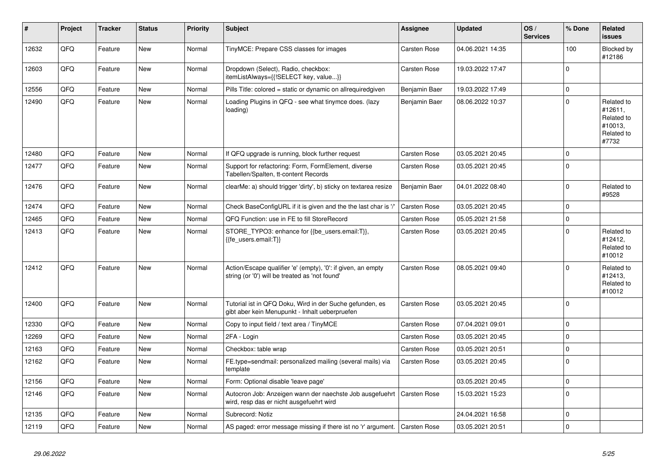| #     | Project | <b>Tracker</b> | <b>Status</b> | <b>Priority</b> | <b>Subject</b>                                                                                                 | Assignee            | <b>Updated</b>   | OS/<br><b>Services</b> | % Done      | Related<br><b>issues</b>                                              |
|-------|---------|----------------|---------------|-----------------|----------------------------------------------------------------------------------------------------------------|---------------------|------------------|------------------------|-------------|-----------------------------------------------------------------------|
| 12632 | QFQ     | Feature        | <b>New</b>    | Normal          | TinyMCE: Prepare CSS classes for images                                                                        | <b>Carsten Rose</b> | 04.06.2021 14:35 |                        | 100         | Blocked by<br>#12186                                                  |
| 12603 | QFQ     | Feature        | <b>New</b>    | Normal          | Dropdown (Select), Radio, checkbox:<br>itemListAlways={{!SELECT key, value}}                                   | <b>Carsten Rose</b> | 19.03.2022 17:47 |                        | $\mathbf 0$ |                                                                       |
| 12556 | QFQ     | Feature        | New           | Normal          | Pills Title: colored = static or dynamic on allrequiredgiven                                                   | Benjamin Baer       | 19.03.2022 17:49 |                        | $\mathbf 0$ |                                                                       |
| 12490 | QFQ     | Feature        | <b>New</b>    | Normal          | Loading Plugins in QFQ - see what tinymce does. (lazy<br>loading)                                              | Benjamin Baer       | 08.06.2022 10:37 |                        | $\mathbf 0$ | Related to<br>#12611,<br>Related to<br>#10013,<br>Related to<br>#7732 |
| 12480 | QFQ     | Feature        | <b>New</b>    | Normal          | If QFQ upgrade is running, block further request                                                               | Carsten Rose        | 03.05.2021 20:45 |                        | $\mathbf 0$ |                                                                       |
| 12477 | QFQ     | Feature        | New           | Normal          | Support for refactoring: Form, FormElement, diverse<br>Tabellen/Spalten, tt-content Records                    | Carsten Rose        | 03.05.2021 20:45 |                        | $\mathbf 0$ |                                                                       |
| 12476 | QFQ     | Feature        | <b>New</b>    | Normal          | clearMe: a) should trigger 'dirty', b) sticky on textarea resize                                               | Benjamin Baer       | 04.01.2022 08:40 |                        | $\mathbf 0$ | Related to<br>#9528                                                   |
| 12474 | QFQ     | Feature        | <b>New</b>    | Normal          | Check BaseConfigURL if it is given and the the last char is '/'                                                | Carsten Rose        | 03.05.2021 20:45 |                        | $\mathbf 0$ |                                                                       |
| 12465 | QFQ     | Feature        | <b>New</b>    | Normal          | QFQ Function: use in FE to fill StoreRecord                                                                    | Carsten Rose        | 05.05.2021 21:58 |                        | $\pmb{0}$   |                                                                       |
| 12413 | QFQ     | Feature        | <b>New</b>    | Normal          | STORE TYPO3: enhance for {{be users.email:T}},<br>{{fe users.email:T}}                                         | <b>Carsten Rose</b> | 03.05.2021 20:45 |                        | $\Omega$    | Related to<br>#12412,<br>Related to<br>#10012                         |
| 12412 | QFQ     | Feature        | <b>New</b>    | Normal          | Action/Escape qualifier 'e' (empty), '0': if given, an empty<br>string (or '0') will be treated as 'not found' | <b>Carsten Rose</b> | 08.05.2021 09:40 |                        | $\Omega$    | Related to<br>#12413,<br>Related to<br>#10012                         |
| 12400 | QFQ     | Feature        | <b>New</b>    | Normal          | Tutorial ist in QFQ Doku, Wird in der Suche gefunden, es<br>gibt aber kein Menupunkt - Inhalt ueberpruefen     | <b>Carsten Rose</b> | 03.05.2021 20:45 |                        | $\mathbf 0$ |                                                                       |
| 12330 | QFQ     | Feature        | <b>New</b>    | Normal          | Copy to input field / text area / TinyMCE                                                                      | <b>Carsten Rose</b> | 07.04.2021 09:01 |                        | $\mathbf 0$ |                                                                       |
| 12269 | QFQ     | Feature        | <b>New</b>    | Normal          | 2FA - Login                                                                                                    | Carsten Rose        | 03.05.2021 20:45 |                        | $\mathbf 0$ |                                                                       |
| 12163 | QFQ     | Feature        | <b>New</b>    | Normal          | Checkbox: table wrap                                                                                           | Carsten Rose        | 03.05.2021 20:51 |                        | $\pmb{0}$   |                                                                       |
| 12162 | QFQ     | Feature        | <b>New</b>    | Normal          | FE.type=sendmail: personalized mailing (several mails) via<br>template                                         | <b>Carsten Rose</b> | 03.05.2021 20:45 |                        | $\mathbf 0$ |                                                                       |
| 12156 | QFQ     | Feature        | <b>New</b>    | Normal          | Form: Optional disable 'leave page'                                                                            |                     | 03.05.2021 20:45 |                        | $\mathbf 0$ |                                                                       |
| 12146 | QFQ     | Feature        | <b>New</b>    | Normal          | Autocron Job: Anzeigen wann der naechste Job ausgefuehrt<br>wird, resp das er nicht ausgefuehrt wird           | <b>Carsten Rose</b> | 15.03.2021 15:23 |                        | $\mathbf 0$ |                                                                       |
| 12135 | QFQ     | Feature        | <b>New</b>    | Normal          | Subrecord: Notiz                                                                                               |                     | 24.04.2021 16:58 |                        | $\mathbf 0$ |                                                                       |
| 12119 | QFQ     | Feature        | <b>New</b>    | Normal          | AS paged: error message missing if there ist no 'r' argument.   Carsten Rose                                   |                     | 03.05.2021 20:51 |                        | $\mathbf 0$ |                                                                       |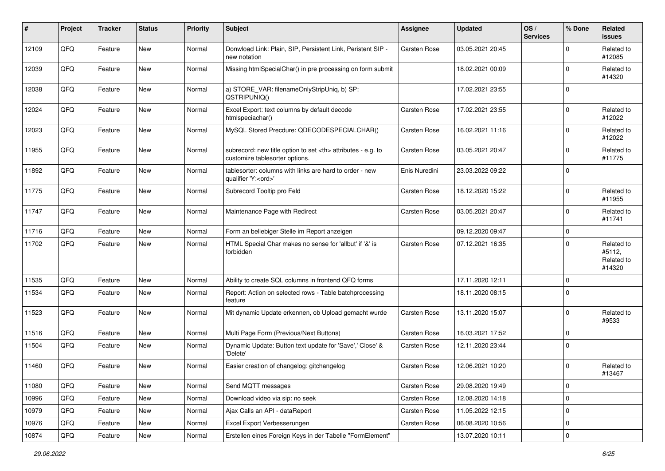| #     | Project | <b>Tracker</b> | <b>Status</b> | <b>Priority</b> | <b>Subject</b>                                                                                       | <b>Assignee</b>                                        | <b>Updated</b>   | OS/<br><b>Services</b> | % Done      | Related<br><b>issues</b>                     |                      |
|-------|---------|----------------|---------------|-----------------|------------------------------------------------------------------------------------------------------|--------------------------------------------------------|------------------|------------------------|-------------|----------------------------------------------|----------------------|
| 12109 | QFQ     | Feature        | New           | Normal          | Donwload Link: Plain, SIP, Persistent Link, Peristent SIP -<br>new notation                          | Carsten Rose                                           | 03.05.2021 20:45 |                        | $\Omega$    | Related to<br>#12085                         |                      |
| 12039 | QFQ     | Feature        | New           | Normal          | Missing htmlSpecialChar() in pre processing on form submit                                           |                                                        | 18.02.2021 00:09 |                        | $\Omega$    | Related to<br>#14320                         |                      |
| 12038 | QFQ     | Feature        | <b>New</b>    | Normal          | a) STORE_VAR: filenameOnlyStripUniq, b) SP:<br>QSTRIPUNIQ()                                          |                                                        | 17.02.2021 23:55 |                        | $\Omega$    |                                              |                      |
| 12024 | QFQ     | Feature        | New           | Normal          | Excel Export: text columns by default decode<br>htmlspeciachar()                                     | Carsten Rose                                           | 17.02.2021 23:55 |                        | $\Omega$    | Related to<br>#12022                         |                      |
| 12023 | QFQ     | Feature        | <b>New</b>    | Normal          | MySQL Stored Precdure: QDECODESPECIALCHAR()                                                          | Carsten Rose                                           | 16.02.2021 11:16 |                        | $\Omega$    | Related to<br>#12022                         |                      |
| 11955 | QFQ     | Feature        | <b>New</b>    | Normal          | subrecord: new title option to set <th> attributes - e.g. to<br/>customize tablesorter options.</th> | attributes - e.g. to<br>customize tablesorter options. | Carsten Rose     | 03.05.2021 20:47       |             | $\Omega$                                     | Related to<br>#11775 |
| 11892 | QFQ     | Feature        | New           | Normal          | tablesorter: columns with links are hard to order - new<br>qualifier 'Y: <ord>'</ord>                | Enis Nuredini                                          | 23.03.2022 09:22 |                        | $\Omega$    |                                              |                      |
| 11775 | QFQ     | Feature        | New           | Normal          | Subrecord Tooltip pro Feld                                                                           | Carsten Rose                                           | 18.12.2020 15:22 |                        | $\Omega$    | Related to<br>#11955                         |                      |
| 11747 | QFQ     | Feature        | New           | Normal          | Maintenance Page with Redirect                                                                       | Carsten Rose                                           | 03.05.2021 20:47 |                        | $\Omega$    | Related to<br>#11741                         |                      |
| 11716 | QFQ     | Feature        | <b>New</b>    | Normal          | Form an beliebiger Stelle im Report anzeigen                                                         |                                                        | 09.12.2020 09:47 |                        | $\Omega$    |                                              |                      |
| 11702 | QFQ     | Feature        | New           | Normal          | HTML Special Char makes no sense for 'allbut' if '&' is<br>forbidden                                 | Carsten Rose                                           | 07.12.2021 16:35 |                        | $\Omega$    | Related to<br>#5112,<br>Related to<br>#14320 |                      |
| 11535 | QFQ     | Feature        | <b>New</b>    | Normal          | Ability to create SQL columns in frontend QFQ forms                                                  |                                                        | 17.11.2020 12:11 |                        | $\mathbf 0$ |                                              |                      |
| 11534 | QFQ     | Feature        | New           | Normal          | Report: Action on selected rows - Table batchprocessing<br>feature                                   |                                                        | 18.11.2020 08:15 |                        | $\Omega$    |                                              |                      |
| 11523 | QFQ     | Feature        | New           | Normal          | Mit dynamic Update erkennen, ob Upload gemacht wurde                                                 | Carsten Rose                                           | 13.11.2020 15:07 |                        | $\Omega$    | Related to<br>#9533                          |                      |
| 11516 | QFQ     | Feature        | <b>New</b>    | Normal          | Multi Page Form (Previous/Next Buttons)                                                              | Carsten Rose                                           | 16.03.2021 17:52 |                        | $\Omega$    |                                              |                      |
| 11504 | QFQ     | Feature        | New           | Normal          | Dynamic Update: Button text update for 'Save',' Close' &<br>'Delete'                                 | Carsten Rose                                           | 12.11.2020 23:44 |                        | $\Omega$    |                                              |                      |
| 11460 | QFQ     | Feature        | <b>New</b>    | Normal          | Easier creation of changelog: gitchangelog                                                           | Carsten Rose                                           | 12.06.2021 10:20 |                        | $\Omega$    | Related to<br>#13467                         |                      |
| 11080 | QFQ     | Feature        | <b>New</b>    | Normal          | Send MQTT messages                                                                                   | Carsten Rose                                           | 29.08.2020 19:49 |                        | 0           |                                              |                      |
| 10996 | QFQ     | Feature        | New           | Normal          | Download video via sip: no seek                                                                      | Carsten Rose                                           | 12.08.2020 14:18 |                        | 0           |                                              |                      |
| 10979 | QFQ     | Feature        | New           | Normal          | Ajax Calls an API - dataReport                                                                       | Carsten Rose                                           | 11.05.2022 12:15 |                        | 0           |                                              |                      |
| 10976 | QFQ     | Feature        | New           | Normal          | Excel Export Verbesserungen                                                                          | Carsten Rose                                           | 06.08.2020 10:56 |                        | 0           |                                              |                      |
| 10874 | QFG     | Feature        | New           | Normal          | Erstellen eines Foreign Keys in der Tabelle "FormElement"                                            |                                                        | 13.07.2020 10:11 |                        | $\pmb{0}$   |                                              |                      |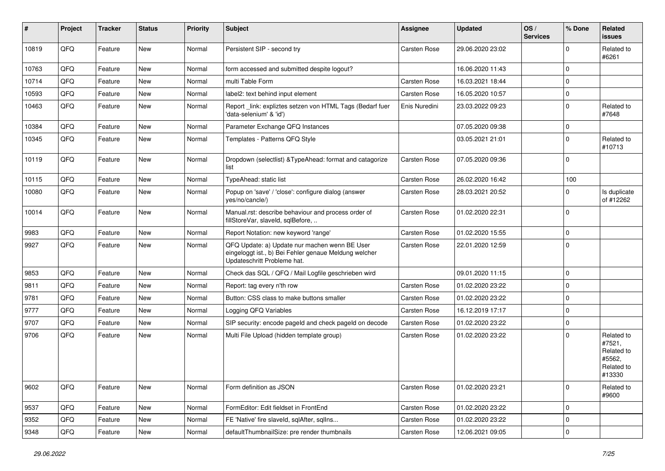| ∦     | Project | <b>Tracker</b> | <b>Status</b> | <b>Priority</b> | <b>Subject</b>                                                                                                                        | <b>Assignee</b> | <b>Updated</b>   | OS/<br><b>Services</b> | % Done      | Related<br>issues                                                    |
|-------|---------|----------------|---------------|-----------------|---------------------------------------------------------------------------------------------------------------------------------------|-----------------|------------------|------------------------|-------------|----------------------------------------------------------------------|
| 10819 | QFQ     | Feature        | <b>New</b>    | Normal          | Persistent SIP - second try                                                                                                           | Carsten Rose    | 29.06.2020 23:02 |                        | $\Omega$    | Related to<br>#6261                                                  |
| 10763 | QFQ     | Feature        | New           | Normal          | form accessed and submitted despite logout?                                                                                           |                 | 16.06.2020 11:43 |                        | $\Omega$    |                                                                      |
| 10714 | QFQ     | Feature        | New           | Normal          | multi Table Form                                                                                                                      | Carsten Rose    | 16.03.2021 18:44 |                        | $\Omega$    |                                                                      |
| 10593 | QFQ     | Feature        | New           | Normal          | label2: text behind input element                                                                                                     | Carsten Rose    | 16.05.2020 10:57 |                        | $\mathbf 0$ |                                                                      |
| 10463 | QFQ     | Feature        | New           | Normal          | Report _link: expliztes setzen von HTML Tags (Bedarf fuer<br>'data-selenium' & 'id')                                                  | Enis Nuredini   | 23.03.2022 09:23 |                        | $\Omega$    | Related to<br>#7648                                                  |
| 10384 | QFQ     | Feature        | <b>New</b>    | Normal          | Parameter Exchange QFQ Instances                                                                                                      |                 | 07.05.2020 09:38 |                        | $\Omega$    |                                                                      |
| 10345 | QFQ     | Feature        | <b>New</b>    | Normal          | Templates - Patterns QFQ Style                                                                                                        |                 | 03.05.2021 21:01 |                        | $\Omega$    | Related to<br>#10713                                                 |
| 10119 | QFQ     | Feature        | <b>New</b>    | Normal          | Dropdown (selectlist) & TypeAhead: format and catagorize<br>list                                                                      | Carsten Rose    | 07.05.2020 09:36 |                        | $\mathbf 0$ |                                                                      |
| 10115 | QFQ     | Feature        | New           | Normal          | TypeAhead: static list                                                                                                                | Carsten Rose    | 26.02.2020 16:42 |                        | 100         |                                                                      |
| 10080 | QFQ     | Feature        | New           | Normal          | Popup on 'save' / 'close': configure dialog (answer<br>yes/no/cancle/)                                                                | Carsten Rose    | 28.03.2021 20:52 |                        | $\Omega$    | Is duplicate<br>of #12262                                            |
| 10014 | QFQ     | Feature        | <b>New</b>    | Normal          | Manual.rst: describe behaviour and process order of<br>fillStoreVar, slaveId, sqlBefore,                                              | Carsten Rose    | 01.02.2020 22:31 |                        | $\Omega$    |                                                                      |
| 9983  | QFQ     | Feature        | New           | Normal          | Report Notation: new keyword 'range'                                                                                                  | Carsten Rose    | 01.02.2020 15:55 |                        | 0           |                                                                      |
| 9927  | QFQ     | Feature        | New           | Normal          | QFQ Update: a) Update nur machen wenn BE User<br>eingeloggt ist., b) Bei Fehler genaue Meldung welcher<br>Updateschritt Probleme hat. | Carsten Rose    | 22.01.2020 12:59 |                        | $\Omega$    |                                                                      |
| 9853  | QFQ     | Feature        | <b>New</b>    | Normal          | Check das SQL / QFQ / Mail Logfile geschrieben wird                                                                                   |                 | 09.01.2020 11:15 |                        | $\mathbf 0$ |                                                                      |
| 9811  | QFQ     | Feature        | New           | Normal          | Report: tag every n'th row                                                                                                            | Carsten Rose    | 01.02.2020 23:22 |                        | $\Omega$    |                                                                      |
| 9781  | QFQ     | Feature        | New           | Normal          | Button: CSS class to make buttons smaller                                                                                             | Carsten Rose    | 01.02.2020 23:22 |                        | $\mathbf 0$ |                                                                      |
| 9777  | QFQ     | Feature        | <b>New</b>    | Normal          | Logging QFQ Variables                                                                                                                 | Carsten Rose    | 16.12.2019 17:17 |                        | $\Omega$    |                                                                      |
| 9707  | QFQ     | Feature        | New           | Normal          | SIP security: encode pageld and check pageld on decode                                                                                | Carsten Rose    | 01.02.2020 23:22 |                        | 0           |                                                                      |
| 9706  | QFQ     | Feature        | New           | Normal          | Multi File Upload (hidden template group)                                                                                             | Carsten Rose    | 01.02.2020 23:22 |                        | $\Omega$    | Related to<br>#7521,<br>Related to<br>#5562,<br>Related to<br>#13330 |
| 9602  | QFQ     | Feature        | New           | Normal          | Form definition as JSON                                                                                                               | Carsten Rose    | 01.02.2020 23:21 |                        | $\mathbf 0$ | Related to<br>#9600                                                  |
| 9537  | QFQ     | Feature        | New           | Normal          | FormEditor: Edit fieldset in FrontEnd                                                                                                 | Carsten Rose    | 01.02.2020 23:22 |                        | 0           |                                                                      |
| 9352  | QFQ     | Feature        | New           | Normal          | FE 'Native' fire slaveld, sqlAfter, sqlIns                                                                                            | Carsten Rose    | 01.02.2020 23:22 |                        | 0           |                                                                      |
| 9348  | QFG     | Feature        | New           | Normal          | defaultThumbnailSize: pre render thumbnails                                                                                           | Carsten Rose    | 12.06.2021 09:05 |                        | 0           |                                                                      |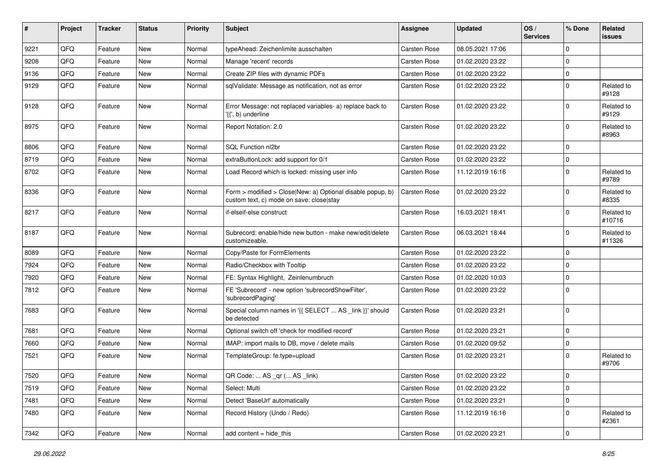| #    | Project        | <b>Tracker</b> | <b>Status</b> | <b>Priority</b> | Subject                                                                                                | <b>Assignee</b> | <b>Updated</b>   | OS/<br><b>Services</b> | % Done      | Related<br>issues    |
|------|----------------|----------------|---------------|-----------------|--------------------------------------------------------------------------------------------------------|-----------------|------------------|------------------------|-------------|----------------------|
| 9221 | QFQ            | Feature        | New           | Normal          | typeAhead: Zeichenlimite ausschalten                                                                   | Carsten Rose    | 08.05.2021 17:06 |                        | 0           |                      |
| 9208 | QFQ            | Feature        | <b>New</b>    | Normal          | Manage 'recent' records                                                                                | Carsten Rose    | 01.02.2020 23:22 |                        | $\mathbf 0$ |                      |
| 9136 | QFQ            | Feature        | New           | Normal          | Create ZIP files with dynamic PDFs                                                                     | Carsten Rose    | 01.02.2020 23:22 |                        | $\mathbf 0$ |                      |
| 9129 | QFQ            | Feature        | <b>New</b>    | Normal          | sqlValidate: Message as notification, not as error                                                     | Carsten Rose    | 01.02.2020 23:22 |                        | 0           | Related to<br>#9128  |
| 9128 | QFQ            | Feature        | New           | Normal          | Error Message: not replaced variables- a) replace back to<br>'{{', b) underline                        | Carsten Rose    | 01.02.2020 23:22 |                        | $\Omega$    | Related to<br>#9129  |
| 8975 | QFQ            | Feature        | <b>New</b>    | Normal          | Report Notation: 2.0                                                                                   | Carsten Rose    | 01.02.2020 23:22 |                        | $\mathbf 0$ | Related to<br>#8963  |
| 8806 | QFQ            | Feature        | <b>New</b>    | Normal          | <b>SQL Function nl2br</b>                                                                              | Carsten Rose    | 01.02.2020 23:22 |                        | $\Omega$    |                      |
| 8719 | QFQ            | Feature        | New           | Normal          | extraButtonLock: add support for 0/1                                                                   | Carsten Rose    | 01.02.2020 23:22 |                        | $\mathbf 0$ |                      |
| 8702 | QFQ            | Feature        | <b>New</b>    | Normal          | Load Record which is locked: missing user info                                                         | Carsten Rose    | 11.12.2019 16:16 |                        | $\Omega$    | Related to<br>#9789  |
| 8336 | QFQ            | Feature        | New           | Normal          | Form > modified > Close New: a) Optional disable popup, b)<br>custom text, c) mode on save: close stay | Carsten Rose    | 01.02.2020 23:22 |                        | $\Omega$    | Related to<br>#8335  |
| 8217 | QFQ            | Feature        | <b>New</b>    | Normal          | if-elseif-else construct                                                                               | Carsten Rose    | 16.03.2021 18:41 |                        | 0           | Related to<br>#10716 |
| 8187 | QFQ            | Feature        | <b>New</b>    | Normal          | Subrecord: enable/hide new button - make new/edit/delete<br>customizeable.                             | Carsten Rose    | 06.03.2021 18:44 |                        | 0           | Related to<br>#11326 |
| 8089 | QFQ            | Feature        | New           | Normal          | Copy/Paste for FormElements                                                                            | Carsten Rose    | 01.02.2020 23:22 |                        | $\mathbf 0$ |                      |
| 7924 | QFQ            | Feature        | <b>New</b>    | Normal          | Radio/Checkbox with Tooltip                                                                            | Carsten Rose    | 01.02.2020 23:22 |                        | $\mathbf 0$ |                      |
| 7920 | QFQ            | Feature        | New           | Normal          | FE: Syntax Highlight, Zeinlenumbruch                                                                   | Carsten Rose    | 01.02.2020 10:03 |                        | $\mathbf 0$ |                      |
| 7812 | QFQ            | Feature        | <b>New</b>    | Normal          | FE 'Subrecord' - new option 'subrecordShowFilter',<br>'subrecordPaging'                                | Carsten Rose    | 01.02.2020 23:22 |                        | $\Omega$    |                      |
| 7683 | QFQ            | Feature        | <b>New</b>    | Normal          | Special column names in '{{ SELECT  AS _link }}' should<br>be detected                                 | Carsten Rose    | 01.02.2020 23:21 |                        | $\Omega$    |                      |
| 7681 | QFQ            | Feature        | <b>New</b>    | Normal          | Optional switch off 'check for modified record'                                                        | Carsten Rose    | 01.02.2020 23:21 |                        | $\Omega$    |                      |
| 7660 | QFQ            | Feature        | <b>New</b>    | Normal          | IMAP: import mails to DB, move / delete mails                                                          | Carsten Rose    | 01.02.2020 09:52 |                        | $\mathbf 0$ |                      |
| 7521 | QFQ            | Feature        | <b>New</b>    | Normal          | TemplateGroup: fe.type=upload                                                                          | Carsten Rose    | 01.02.2020 23:21 |                        | $\Omega$    | Related to<br>#9706  |
| 7520 | $\mathsf{QFQ}$ | Feature        | New           | Normal          | QR Code:  AS _qr ( AS _link)                                                                           | Carsten Rose    | 01.02.2020 23:22 |                        | 0           |                      |
| 7519 | QFQ            | Feature        | New           | Normal          | Select: Multi                                                                                          | Carsten Rose    | 01.02.2020 23:22 |                        | 0           |                      |
| 7481 | QFQ            | Feature        | New           | Normal          | Detect 'BaseUrl' automatically                                                                         | Carsten Rose    | 01.02.2020 23:21 |                        | $\pmb{0}$   |                      |
| 7480 | QFQ            | Feature        | New           | Normal          | Record History (Undo / Redo)                                                                           | Carsten Rose    | 11.12.2019 16:16 |                        | 0           | Related to<br>#2361  |
| 7342 | QFQ            | Feature        | New           | Normal          | add content = hide_this                                                                                | Carsten Rose    | 01.02.2020 23:21 |                        | $\pmb{0}$   |                      |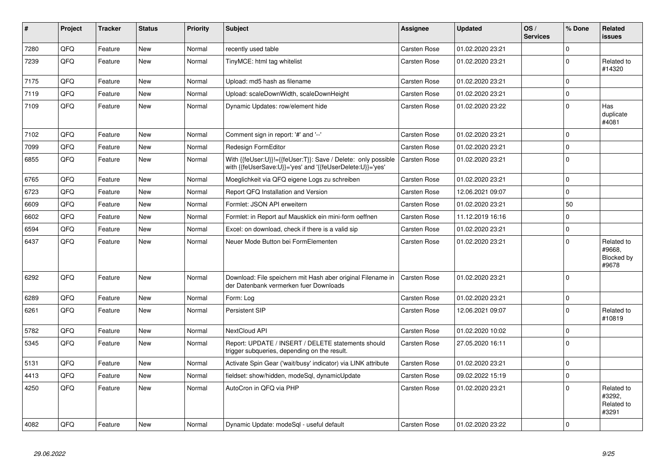| #    | Project | <b>Tracker</b> | <b>Status</b> | <b>Priority</b> | <b>Subject</b>                                                                                                             | <b>Assignee</b>     | <b>Updated</b>   | OS/<br><b>Services</b> | % Done      | Related<br><b>issues</b>                    |
|------|---------|----------------|---------------|-----------------|----------------------------------------------------------------------------------------------------------------------------|---------------------|------------------|------------------------|-------------|---------------------------------------------|
| 7280 | QFQ     | Feature        | <b>New</b>    | Normal          | recently used table                                                                                                        | Carsten Rose        | 01.02.2020 23:21 |                        | $\Omega$    |                                             |
| 7239 | QFQ     | Feature        | New           | Normal          | TinyMCE: html tag whitelist                                                                                                | Carsten Rose        | 01.02.2020 23:21 |                        | $\Omega$    | Related to<br>#14320                        |
| 7175 | QFQ     | Feature        | <b>New</b>    | Normal          | Upload: md5 hash as filename                                                                                               | Carsten Rose        | 01.02.2020 23:21 |                        | $\mathbf 0$ |                                             |
| 7119 | QFQ     | Feature        | New           | Normal          | Upload: scaleDownWidth, scaleDownHeight                                                                                    | Carsten Rose        | 01.02.2020 23:21 |                        | $\Omega$    |                                             |
| 7109 | QFQ     | Feature        | <b>New</b>    | Normal          | Dynamic Updates: row/element hide                                                                                          | Carsten Rose        | 01.02.2020 23:22 |                        | $\Omega$    | Has<br>duplicate<br>#4081                   |
| 7102 | QFQ     | Feature        | <b>New</b>    | Normal          | Comment sign in report: '#' and '--'                                                                                       | <b>Carsten Rose</b> | 01.02.2020 23:21 |                        | $\Omega$    |                                             |
| 7099 | QFQ     | Feature        | <b>New</b>    | Normal          | <b>Redesign FormEditor</b>                                                                                                 | Carsten Rose        | 01.02.2020 23:21 |                        | $\Omega$    |                                             |
| 6855 | QFQ     | Feature        | <b>New</b>    | Normal          | With {{feUser:U}}!={{feUser:T}}: Save / Delete: only possible<br>with {{feUserSave:U}}='yes' and '{{feUserDelete:U}}='yes' | Carsten Rose        | 01.02.2020 23:21 |                        | $\Omega$    |                                             |
| 6765 | QFQ     | Feature        | <b>New</b>    | Normal          | Moeglichkeit via QFQ eigene Logs zu schreiben                                                                              | <b>Carsten Rose</b> | 01.02.2020 23:21 |                        | $\mathbf 0$ |                                             |
| 6723 | QFQ     | Feature        | <b>New</b>    | Normal          | Report QFQ Installation and Version                                                                                        | Carsten Rose        | 12.06.2021 09:07 |                        | $\Omega$    |                                             |
| 6609 | QFQ     | Feature        | <b>New</b>    | Normal          | Formlet: JSON API erweitern                                                                                                | Carsten Rose        | 01.02.2020 23:21 |                        | 50          |                                             |
| 6602 | QFQ     | Feature        | <b>New</b>    | Normal          | Formlet: in Report auf Mausklick ein mini-form oeffnen                                                                     | Carsten Rose        | 11.12.2019 16:16 |                        | $\Omega$    |                                             |
| 6594 | QFQ     | Feature        | New           | Normal          | Excel: on download, check if there is a valid sip                                                                          | Carsten Rose        | 01.02.2020 23:21 |                        | $\mathbf 0$ |                                             |
| 6437 | QFQ     | Feature        | New           | Normal          | Neuer Mode Button bei FormElementen                                                                                        | Carsten Rose        | 01.02.2020 23:21 |                        | $\Omega$    | Related to<br>#9668,<br>Blocked by<br>#9678 |
| 6292 | QFQ     | Feature        | <b>New</b>    | Normal          | Download: File speichern mit Hash aber original Filename in<br>der Datenbank vermerken fuer Downloads                      | Carsten Rose        | 01.02.2020 23:21 |                        | $\Omega$    |                                             |
| 6289 | QFQ     | Feature        | <b>New</b>    | Normal          | Form: Log                                                                                                                  | Carsten Rose        | 01.02.2020 23:21 |                        | $\mathbf 0$ |                                             |
| 6261 | QFQ     | Feature        | <b>New</b>    | Normal          | Persistent SIP                                                                                                             | Carsten Rose        | 12.06.2021 09:07 |                        | $\Omega$    | Related to<br>#10819                        |
| 5782 | QFQ     | Feature        | <b>New</b>    | Normal          | <b>NextCloud API</b>                                                                                                       | Carsten Rose        | 01.02.2020 10:02 |                        | $\Omega$    |                                             |
| 5345 | QFQ     | Feature        | <b>New</b>    | Normal          | Report: UPDATE / INSERT / DELETE statements should<br>trigger subqueries, depending on the result.                         | Carsten Rose        | 27.05.2020 16:11 |                        | $\Omega$    |                                             |
| 5131 | QFQ     | Feature        | New           | Normal          | Activate Spin Gear ('wait/busy' indicator) via LINK attribute                                                              | Carsten Rose        | 01.02.2020 23:21 |                        | $\mathbf 0$ |                                             |
| 4413 | QFQ     | Feature        | <b>New</b>    | Normal          | fieldset: show/hidden, modeSql, dynamicUpdate                                                                              | Carsten Rose        | 09.02.2022 15:19 |                        | $\Omega$    |                                             |
| 4250 | QFQ     | Feature        | <b>New</b>    | Normal          | AutoCron in QFQ via PHP                                                                                                    | Carsten Rose        | 01.02.2020 23:21 |                        | $\mathbf 0$ | Related to<br>#3292.<br>Related to<br>#3291 |
| 4082 | QFQ     | Feature        | New           | Normal          | Dynamic Update: modeSql - useful default                                                                                   | Carsten Rose        | 01.02.2020 23:22 |                        | $\Omega$    |                                             |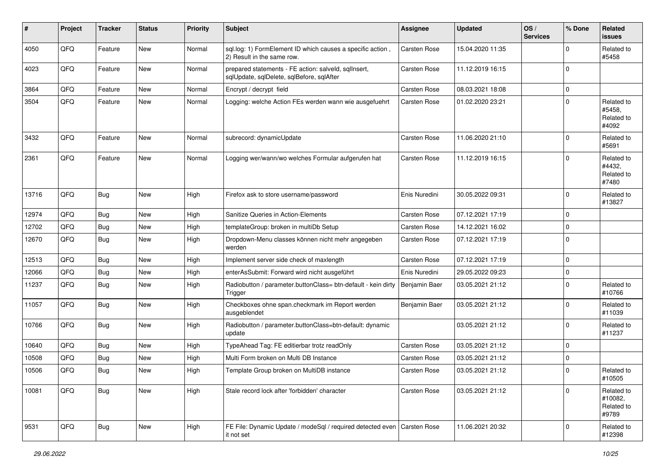| #     | Project | <b>Tracker</b> | <b>Status</b> | <b>Priority</b> | <b>Subject</b>                                                                                    | <b>Assignee</b> | <b>Updated</b>   | OS/<br><b>Services</b> | % Done      | Related<br><b>issues</b>                     |
|-------|---------|----------------|---------------|-----------------|---------------------------------------------------------------------------------------------------|-----------------|------------------|------------------------|-------------|----------------------------------------------|
| 4050  | QFQ     | Feature        | <b>New</b>    | Normal          | sql.log: 1) FormElement ID which causes a specific action,<br>2) Result in the same row.          | Carsten Rose    | 15.04.2020 11:35 |                        | $\mathbf 0$ | Related to<br>#5458                          |
| 4023  | QFQ     | Feature        | <b>New</b>    | Normal          | prepared statements - FE action: salveld, sqllnsert,<br>sqlUpdate, sqlDelete, sqlBefore, sqlAfter | Carsten Rose    | 11.12.2019 16:15 |                        | $\Omega$    |                                              |
| 3864  | QFQ     | Feature        | New           | Normal          | Encrypt / decrypt field                                                                           | Carsten Rose    | 08.03.2021 18:08 |                        | $\mathbf 0$ |                                              |
| 3504  | QFQ     | Feature        | <b>New</b>    | Normal          | Logging: welche Action FEs werden wann wie ausgefuehrt                                            | Carsten Rose    | 01.02.2020 23:21 |                        | $\Omega$    | Related to<br>#5458,<br>Related to<br>#4092  |
| 3432  | QFQ     | Feature        | New           | Normal          | subrecord: dynamicUpdate                                                                          | Carsten Rose    | 11.06.2020 21:10 |                        | $\mathbf 0$ | Related to<br>#5691                          |
| 2361  | QFQ     | Feature        | <b>New</b>    | Normal          | Logging wer/wann/wo welches Formular aufgerufen hat                                               | Carsten Rose    | 11.12.2019 16:15 |                        | $\Omega$    | Related to<br>#4432,<br>Related to<br>#7480  |
| 13716 | QFQ     | <b>Bug</b>     | <b>New</b>    | High            | Firefox ask to store username/password                                                            | Enis Nuredini   | 30.05.2022 09:31 |                        | $\mathbf 0$ | Related to<br>#13827                         |
| 12974 | QFQ     | <b>Bug</b>     | <b>New</b>    | High            | Sanitize Queries in Action-Elements                                                               | Carsten Rose    | 07.12.2021 17:19 |                        | 0           |                                              |
| 12702 | QFQ     | <b>Bug</b>     | <b>New</b>    | High            | templateGroup: broken in multiDb Setup                                                            | Carsten Rose    | 14.12.2021 16:02 |                        | $\mathbf 0$ |                                              |
| 12670 | QFQ     | Bug            | <b>New</b>    | High            | Dropdown-Menu classes können nicht mehr angegeben<br>werden                                       | Carsten Rose    | 07.12.2021 17:19 |                        | $\Omega$    |                                              |
| 12513 | QFQ     | <b>Bug</b>     | <b>New</b>    | High            | Implement server side check of maxlength                                                          | Carsten Rose    | 07.12.2021 17:19 |                        | $\Omega$    |                                              |
| 12066 | QFQ     | <b>Bug</b>     | <b>New</b>    | High            | enterAsSubmit: Forward wird nicht ausgeführt                                                      | Enis Nuredini   | 29.05.2022 09:23 |                        | $\mathbf 0$ |                                              |
| 11237 | QFQ     | Bug            | New           | High            | Radiobutton / parameter.buttonClass= btn-default - kein dirty<br>Trigger                          | Benjamin Baer   | 03.05.2021 21:12 |                        | $\mathbf 0$ | Related to<br>#10766                         |
| 11057 | QFQ     | Bug            | <b>New</b>    | High            | Checkboxes ohne span.checkmark im Report werden<br>ausgeblendet                                   | Benjamin Baer   | 03.05.2021 21:12 |                        | $\Omega$    | Related to<br>#11039                         |
| 10766 | QFQ     | Bug            | <b>New</b>    | High            | Radiobutton / parameter.buttonClass=btn-default: dynamic<br>update                                |                 | 03.05.2021 21:12 |                        | 0           | Related to<br>#11237                         |
| 10640 | QFQ     | <b>Bug</b>     | New           | High            | TypeAhead Tag: FE editierbar trotz readOnly                                                       | Carsten Rose    | 03.05.2021 21:12 |                        | $\Omega$    |                                              |
| 10508 | QFQ     | <b>Bug</b>     | New           | High            | Multi Form broken on Multi DB Instance                                                            | Carsten Rose    | 03.05.2021 21:12 |                        | $\mathbf 0$ |                                              |
| 10506 | QFQ     | <b>Bug</b>     | <b>New</b>    | High            | Template Group broken on MultiDB instance                                                         | Carsten Rose    | 03.05.2021 21:12 |                        | 0           | Related to<br>#10505                         |
| 10081 | QFQ     | <b>Bug</b>     | New           | High            | Stale record lock after 'forbidden' character                                                     | Carsten Rose    | 03.05.2021 21:12 |                        | 0           | Related to<br>#10082,<br>Related to<br>#9789 |
| 9531  | QFQ     | <b>Bug</b>     | New           | High            | FE File: Dynamic Update / modeSql / required detected even<br>it not set                          | Carsten Rose    | 11.06.2021 20:32 |                        | 0           | Related to<br>#12398                         |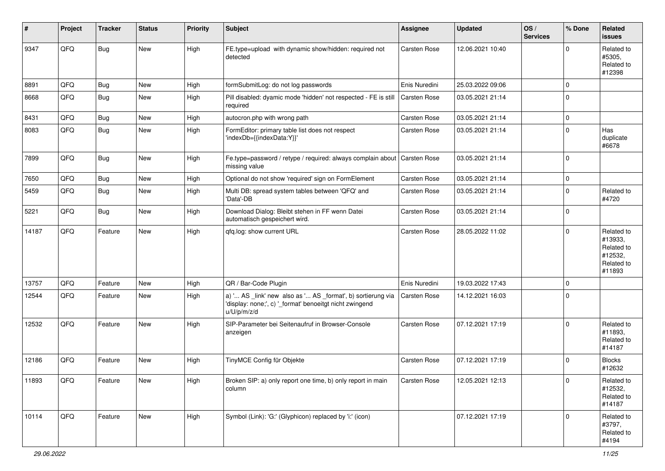| #     | Project | <b>Tracker</b> | <b>Status</b> | <b>Priority</b> | <b>Subject</b>                                                                                                                        | Assignee            | <b>Updated</b>   | OS/<br><b>Services</b> | % Done      | Related<br><b>issues</b>                                               |
|-------|---------|----------------|---------------|-----------------|---------------------------------------------------------------------------------------------------------------------------------------|---------------------|------------------|------------------------|-------------|------------------------------------------------------------------------|
| 9347  | QFQ     | <b>Bug</b>     | New           | High            | FE.type=upload with dynamic show/hidden: required not<br>detected                                                                     | Carsten Rose        | 12.06.2021 10:40 |                        | $\Omega$    | Related to<br>#5305,<br>Related to<br>#12398                           |
| 8891  | QFQ     | <b>Bug</b>     | <b>New</b>    | High            | formSubmitLog: do not log passwords                                                                                                   | Enis Nuredini       | 25.03.2022 09:06 |                        | $\mathbf 0$ |                                                                        |
| 8668  | QFQ     | Bug            | New           | High            | Pill disabled: dyamic mode 'hidden' not respected - FE is still<br>required                                                           | Carsten Rose        | 03.05.2021 21:14 |                        | $\mathbf 0$ |                                                                        |
| 8431  | QFQ     | <b>Bug</b>     | New           | High            | autocron.php with wrong path                                                                                                          | Carsten Rose        | 03.05.2021 21:14 |                        | $\mathbf 0$ |                                                                        |
| 8083  | QFQ     | Bug            | New           | High            | FormEditor: primary table list does not respect<br>'indexDb={{indexData:Y}}'                                                          | Carsten Rose        | 03.05.2021 21:14 |                        | $\mathbf 0$ | Has<br>duplicate<br>#6678                                              |
| 7899  | QFQ     | <b>Bug</b>     | <b>New</b>    | High            | Fe.type=password / retype / required: always complain about<br>missing value                                                          | <b>Carsten Rose</b> | 03.05.2021 21:14 |                        | $\mathbf 0$ |                                                                        |
| 7650  | QFQ     | Bug            | New           | High            | Optional do not show 'required' sign on FormElement                                                                                   | Carsten Rose        | 03.05.2021 21:14 |                        | $\mathbf 0$ |                                                                        |
| 5459  | QFQ     | <b>Bug</b>     | New           | High            | Multi DB: spread system tables between 'QFQ' and<br>'Data'-DB                                                                         | Carsten Rose        | 03.05.2021 21:14 |                        | $\mathbf 0$ | Related to<br>#4720                                                    |
| 5221  | QFQ     | Bug            | New           | High            | Download Dialog: Bleibt stehen in FF wenn Datei<br>automatisch gespeichert wird.                                                      | Carsten Rose        | 03.05.2021 21:14 |                        | $\mathbf 0$ |                                                                        |
| 14187 | QFQ     | Feature        | New           | High            | qfq.log: show current URL                                                                                                             | Carsten Rose        | 28.05.2022 11:02 |                        | $\mathbf 0$ | Related to<br>#13933,<br>Related to<br>#12532,<br>Related to<br>#11893 |
| 13757 | QFQ     | Feature        | New           | High            | QR / Bar-Code Plugin                                                                                                                  | Enis Nuredini       | 19.03.2022 17:43 |                        | $\mathbf 0$ |                                                                        |
| 12544 | QFQ     | Feature        | <b>New</b>    | High            | a) ' AS _link' new also as ' AS _format', b) sortierung via<br>'display: none;', c) '_format' benoeitgt nicht zwingend<br>u/U/p/m/z/d | Carsten Rose        | 14.12.2021 16:03 |                        | $\mathbf 0$ |                                                                        |
| 12532 | QFQ     | Feature        | New           | High            | SIP-Parameter bei Seitenaufruf in Browser-Console<br>anzeigen                                                                         | Carsten Rose        | 07.12.2021 17:19 |                        | $\mathbf 0$ | Related to<br>#11893,<br>Related to<br>#14187                          |
| 12186 | QFQ     | Feature        | New           | High            | TinyMCE Config für Objekte                                                                                                            | Carsten Rose        | 07.12.2021 17:19 |                        | $\mathbf 0$ | <b>Blocks</b><br>#12632                                                |
| 11893 | QFQ     | Feature        | New           | High            | Broken SIP: a) only report one time, b) only report in main<br>column                                                                 | Carsten Rose        | 12.05.2021 12:13 |                        | 0           | Related to<br>#12532,<br>Related to<br>#14187                          |
| 10114 | QFQ     | Feature        | New           | High            | Symbol (Link): 'G:' (Glyphicon) replaced by 'i:' (icon)                                                                               |                     | 07.12.2021 17:19 |                        | $\mathbf 0$ | Related to<br>#3797,<br>Related to<br>#4194                            |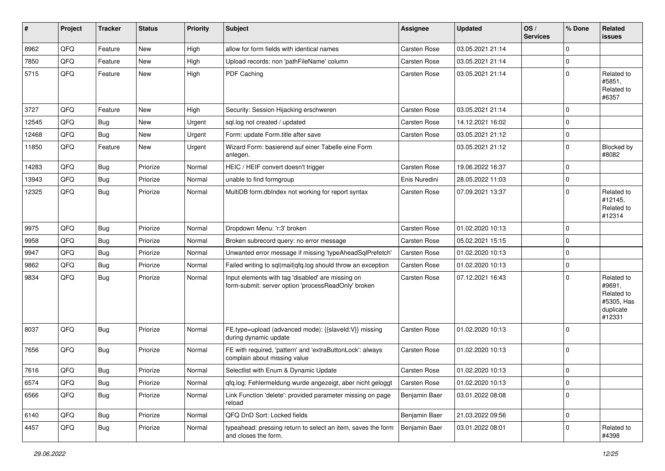| #     | Project | <b>Tracker</b> | <b>Status</b> | <b>Priority</b> | <b>Subject</b>                                                                                           | Assignee            | <b>Updated</b>   | OS/<br><b>Services</b> | % Done      | Related<br><b>issues</b>                                                |
|-------|---------|----------------|---------------|-----------------|----------------------------------------------------------------------------------------------------------|---------------------|------------------|------------------------|-------------|-------------------------------------------------------------------------|
| 8962  | QFQ     | Feature        | <b>New</b>    | High            | allow for form fields with identical names                                                               | Carsten Rose        | 03.05.2021 21:14 |                        | $\mathbf 0$ |                                                                         |
| 7850  | QFQ     | Feature        | <b>New</b>    | High            | Upload records: non 'pathFileName' column                                                                | Carsten Rose        | 03.05.2021 21:14 |                        | $\mathbf 0$ |                                                                         |
| 5715  | QFQ     | Feature        | New           | High            | PDF Caching                                                                                              | Carsten Rose        | 03.05.2021 21:14 |                        | $\mathbf 0$ | Related to<br>#5851.<br>Related to<br>#6357                             |
| 3727  | QFQ     | Feature        | <b>New</b>    | High            | Security: Session Hijacking erschweren                                                                   | <b>Carsten Rose</b> | 03.05.2021 21:14 |                        | $\mathbf 0$ |                                                                         |
| 12545 | QFQ     | <b>Bug</b>     | <b>New</b>    | Urgent          | sql.log not created / updated                                                                            | Carsten Rose        | 14.12.2021 16:02 |                        | $\mathbf 0$ |                                                                         |
| 12468 | QFQ     | <b>Bug</b>     | <b>New</b>    | Urgent          | Form: update Form.title after save                                                                       | Carsten Rose        | 03.05.2021 21:12 |                        | $\mathbf 0$ |                                                                         |
| 11850 | QFQ     | Feature        | New           | Urgent          | Wizard Form: basierend auf einer Tabelle eine Form<br>anlegen.                                           |                     | 03.05.2021 21:12 |                        | $\mathbf 0$ | Blocked by<br>#8082                                                     |
| 14283 | QFQ     | <b>Bug</b>     | Priorize      | Normal          | HEIC / HEIF convert doesn't trigger                                                                      | Carsten Rose        | 19.06.2022 16:37 |                        | $\mathbf 0$ |                                                                         |
| 13943 | QFQ     | Bug            | Priorize      | Normal          | unable to find formgroup                                                                                 | Enis Nuredini       | 28.05.2022 11:03 |                        | $\mathbf 0$ |                                                                         |
| 12325 | QFQ     | Bug            | Priorize      | Normal          | MultiDB form.dblndex not working for report syntax                                                       | <b>Carsten Rose</b> | 07.09.2021 13:37 |                        | $\mathbf 0$ | Related to<br>#12145,<br>Related to<br>#12314                           |
| 9975  | QFQ     | Bug            | Priorize      | Normal          | Dropdown Menu: 'r:3' broken                                                                              | Carsten Rose        | 01.02.2020 10:13 |                        | $\mathbf 0$ |                                                                         |
| 9958  | QFQ     | <b>Bug</b>     | Priorize      | Normal          | Broken subrecord query: no error message                                                                 | Carsten Rose        | 05.02.2021 15:15 |                        | $\mathbf 0$ |                                                                         |
| 9947  | QFQ     | <b>Bug</b>     | Priorize      | Normal          | Unwanted error message if missing 'typeAheadSqlPrefetch'                                                 | Carsten Rose        | 01.02.2020 10:13 |                        | $\mathbf 0$ |                                                                         |
| 9862  | QFQ     | Bug            | Priorize      | Normal          | Failed writing to sql mail qfq.log should throw an exception                                             | Carsten Rose        | 01.02.2020 10:13 |                        | $\mathbf 0$ |                                                                         |
| 9834  | QFQ     | Bug            | Priorize      | Normal          | Input elements with tag 'disabled' are missing on<br>form-submit: server option 'processReadOnly' broken | Carsten Rose        | 07.12.2021 16:43 |                        | $\mathbf 0$ | Related to<br>#9691,<br>Related to<br>#5305, Has<br>duplicate<br>#12331 |
| 8037  | QFQ     | Bug            | Priorize      | Normal          | FE.type=upload (advanced mode): {{slaveld:V}} missing<br>during dynamic update                           | Carsten Rose        | 01.02.2020 10:13 |                        | $\mathbf 0$ |                                                                         |
| 7656  | QFQ     | Bug            | Priorize      | Normal          | FE with required, 'pattern' and 'extraButtonLock': always<br>complain about missing value                | Carsten Rose        | 01.02.2020 10:13 |                        | $\mathbf 0$ |                                                                         |
| 7616  | QFQ     | Bug            | Priorize      | Normal          | Selectlist with Enum & Dynamic Update                                                                    | Carsten Rose        | 01.02.2020 10:13 |                        | 0           |                                                                         |
| 6574  | QFQ     | Bug            | Priorize      | Normal          | qfq.log: Fehlermeldung wurde angezeigt, aber nicht geloggt                                               | Carsten Rose        | 01.02.2020 10:13 |                        | $\pmb{0}$   |                                                                         |
| 6566  | QFQ     | <b>Bug</b>     | Priorize      | Normal          | Link Function 'delete': provided parameter missing on page<br>reload                                     | Benjamin Baer       | 03.01.2022 08:08 |                        | 0           |                                                                         |
| 6140  | QFQ     | <b>Bug</b>     | Priorize      | Normal          | QFQ DnD Sort: Locked fields                                                                              | Benjamin Baer       | 21.03.2022 09:56 |                        | $\mathbf 0$ |                                                                         |
| 4457  | QFQ     | <b>Bug</b>     | Priorize      | Normal          | typeahead: pressing return to select an item, saves the form<br>and closes the form.                     | Benjamin Baer       | 03.01.2022 08:01 |                        | 0           | Related to<br>#4398                                                     |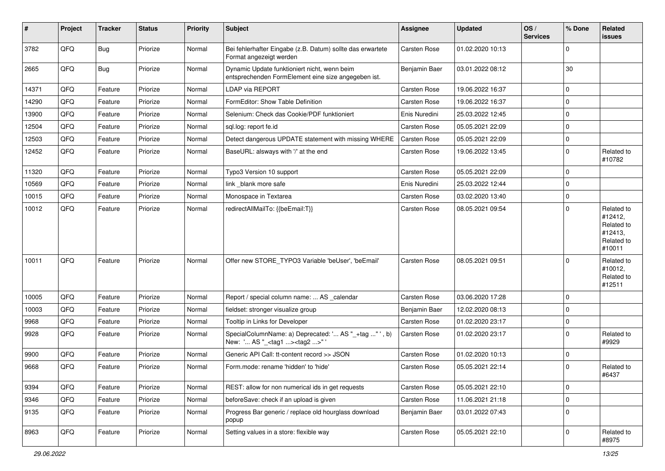| $\vert$ # | Project | <b>Tracker</b> | <b>Status</b> | <b>Priority</b> | Subject                                                                                             | Assignee      | <b>Updated</b>   | OS/<br><b>Services</b> | % Done      | Related<br><b>issues</b>                                               |
|-----------|---------|----------------|---------------|-----------------|-----------------------------------------------------------------------------------------------------|---------------|------------------|------------------------|-------------|------------------------------------------------------------------------|
| 3782      | QFQ     | Bug            | Priorize      | Normal          | Bei fehlerhafter Eingabe (z.B. Datum) sollte das erwartete<br>Format angezeigt werden               | Carsten Rose  | 01.02.2020 10:13 |                        | 0           |                                                                        |
| 2665      | QFQ     | Bug            | Priorize      | Normal          | Dynamic Update funktioniert nicht, wenn beim<br>entsprechenden FormElement eine size angegeben ist. | Benjamin Baer | 03.01.2022 08:12 |                        | 30          |                                                                        |
| 14371     | QFQ     | Feature        | Priorize      | Normal          | LDAP via REPORT                                                                                     | Carsten Rose  | 19.06.2022 16:37 |                        | $\mathbf 0$ |                                                                        |
| 14290     | QFQ     | Feature        | Priorize      | Normal          | FormEditor: Show Table Definition                                                                   | Carsten Rose  | 19.06.2022 16:37 |                        | $\mathbf 0$ |                                                                        |
| 13900     | QFQ     | Feature        | Priorize      | Normal          | Selenium: Check das Cookie/PDF funktioniert                                                         | Enis Nuredini | 25.03.2022 12:45 |                        | $\mathbf 0$ |                                                                        |
| 12504     | QFQ     | Feature        | Priorize      | Normal          | sql.log: report fe.id                                                                               | Carsten Rose  | 05.05.2021 22:09 |                        | 0           |                                                                        |
| 12503     | QFQ     | Feature        | Priorize      | Normal          | Detect dangerous UPDATE statement with missing WHERE                                                | Carsten Rose  | 05.05.2021 22:09 |                        | $\mathbf 0$ |                                                                        |
| 12452     | QFQ     | Feature        | Priorize      | Normal          | BaseURL: alsways with '/' at the end                                                                | Carsten Rose  | 19.06.2022 13:45 |                        | $\mathbf 0$ | Related to<br>#10782                                                   |
| 11320     | QFQ     | Feature        | Priorize      | Normal          | Typo3 Version 10 support                                                                            | Carsten Rose  | 05.05.2021 22:09 |                        | $\mathbf 0$ |                                                                        |
| 10569     | QFQ     | Feature        | Priorize      | Normal          | link blank more safe                                                                                | Enis Nuredini | 25.03.2022 12:44 |                        | $\mathbf 0$ |                                                                        |
| 10015     | QFQ     | Feature        | Priorize      | Normal          | Monospace in Textarea                                                                               | Carsten Rose  | 03.02.2020 13:40 |                        | $\pmb{0}$   |                                                                        |
| 10012     | QFQ     | Feature        | Priorize      | Normal          | redirectAllMailTo: {{beEmail:T}}                                                                    | Carsten Rose  | 08.05.2021 09:54 |                        | $\mathbf 0$ | Related to<br>#12412,<br>Related to<br>#12413,<br>Related to<br>#10011 |
| 10011     | QFQ     | Feature        | Priorize      | Normal          | Offer new STORE_TYPO3 Variable 'beUser', 'beEmail'                                                  | Carsten Rose  | 08.05.2021 09:51 |                        | $\mathbf 0$ | Related to<br>#10012,<br>Related to<br>#12511                          |
| 10005     | QFQ     | Feature        | Priorize      | Normal          | Report / special column name:  AS _calendar                                                         | Carsten Rose  | 03.06.2020 17:28 |                        | $\mathbf 0$ |                                                                        |
| 10003     | QFQ     | Feature        | Priorize      | Normal          | fieldset: stronger visualize group                                                                  | Benjamin Baer | 12.02.2020 08:13 |                        | $\mathbf 0$ |                                                                        |
| 9968      | QFQ     | Feature        | Priorize      | Normal          | Tooltip in Links for Developer                                                                      | Carsten Rose  | 01.02.2020 23:17 |                        | $\mathbf 0$ |                                                                        |
| 9928      | QFQ     | Feature        | Priorize      | Normal          | SpecialColumnName: a) Deprecated: ' AS "_+tag " ', b)<br>New: ' AS "_ <tag1><tag2>" '</tag2></tag1> | Carsten Rose  | 01.02.2020 23:17 |                        | $\mathbf 0$ | Related to<br>#9929                                                    |
| 9900      | QFQ     | Feature        | Priorize      | Normal          | Generic API Call: tt-content record >> JSON                                                         | Carsten Rose  | 01.02.2020 10:13 |                        | $\mathbf 0$ |                                                                        |
| 9668      | QFQ     | Feature        | Priorize      | Normal          | Form.mode: rename 'hidden' to 'hide'                                                                | Carsten Rose  | 05.05.2021 22:14 |                        | $\mathbf 0$ | Related to<br>#6437                                                    |
| 9394      | QFQ     | Feature        | Priorize      | Normal          | REST: allow for non numerical ids in get requests                                                   | Carsten Rose  | 05.05.2021 22:10 |                        | $\mathbf 0$ |                                                                        |
| 9346      | QFQ     | Feature        | Priorize      | Normal          | beforeSave: check if an upload is given                                                             | Carsten Rose  | 11.06.2021 21:18 |                        | $\mathbf 0$ |                                                                        |
| 9135      | QFQ     | Feature        | Priorize      | Normal          | Progress Bar generic / replace old hourglass download<br>popup                                      | Benjamin Baer | 03.01.2022 07:43 |                        | $\mathbf 0$ |                                                                        |
| 8963      | QFQ     | Feature        | Priorize      | Normal          | Setting values in a store: flexible way                                                             | Carsten Rose  | 05.05.2021 22:10 |                        | $\mathbf 0$ | Related to<br>#8975                                                    |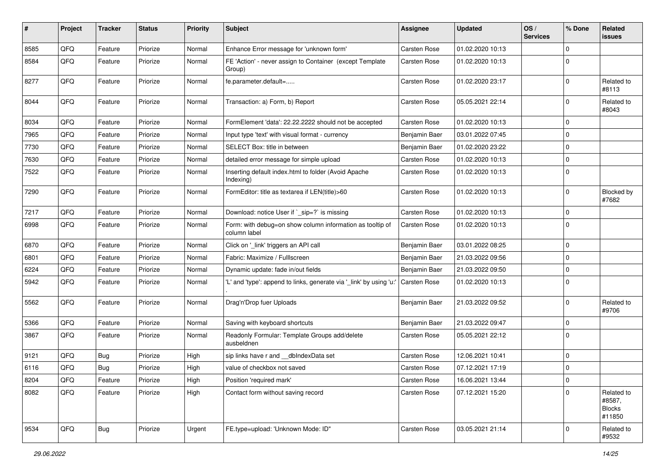| $\sharp$ | Project | <b>Tracker</b> | <b>Status</b> | <b>Priority</b> | Subject                                                                   | <b>Assignee</b> | <b>Updated</b>   | OS/<br><b>Services</b> | % Done      | Related<br><b>issues</b>                        |
|----------|---------|----------------|---------------|-----------------|---------------------------------------------------------------------------|-----------------|------------------|------------------------|-------------|-------------------------------------------------|
| 8585     | QFQ     | Feature        | Priorize      | Normal          | Enhance Error message for 'unknown form'                                  | Carsten Rose    | 01.02.2020 10:13 |                        | $\mathbf 0$ |                                                 |
| 8584     | QFQ     | Feature        | Priorize      | Normal          | FE 'Action' - never assign to Container (except Template<br>Group)        | Carsten Rose    | 01.02.2020 10:13 |                        | $\mathbf 0$ |                                                 |
| 8277     | QFQ     | Feature        | Priorize      | Normal          | fe.parameter.default=                                                     | Carsten Rose    | 01.02.2020 23:17 |                        | $\mathbf 0$ | Related to<br>#8113                             |
| 8044     | QFQ     | Feature        | Priorize      | Normal          | Transaction: a) Form, b) Report                                           | Carsten Rose    | 05.05.2021 22:14 |                        | $\mathbf 0$ | Related to<br>#8043                             |
| 8034     | QFQ     | Feature        | Priorize      | Normal          | FormElement 'data': 22.22.2222 should not be accepted                     | Carsten Rose    | 01.02.2020 10:13 |                        | $\mathbf 0$ |                                                 |
| 7965     | QFQ     | Feature        | Priorize      | Normal          | Input type 'text' with visual format - currency                           | Benjamin Baer   | 03.01.2022 07:45 |                        | $\mathbf 0$ |                                                 |
| 7730     | QFQ     | Feature        | Priorize      | Normal          | SELECT Box: title in between                                              | Benjamin Baer   | 01.02.2020 23:22 |                        | $\mathbf 0$ |                                                 |
| 7630     | QFQ     | Feature        | Priorize      | Normal          | detailed error message for simple upload                                  | Carsten Rose    | 01.02.2020 10:13 |                        | $\mathbf 0$ |                                                 |
| 7522     | QFQ     | Feature        | Priorize      | Normal          | Inserting default index.html to folder (Avoid Apache<br>Indexing)         | Carsten Rose    | 01.02.2020 10:13 |                        | $\mathbf 0$ |                                                 |
| 7290     | QFQ     | Feature        | Priorize      | Normal          | FormEditor: title as textarea if LEN(title)>60                            | Carsten Rose    | 01.02.2020 10:13 |                        | $\mathbf 0$ | Blocked by<br>#7682                             |
| 7217     | QFQ     | Feature        | Priorize      | Normal          | Download: notice User if `_sip=?` is missing                              | Carsten Rose    | 01.02.2020 10:13 |                        | $\mathbf 0$ |                                                 |
| 6998     | QFQ     | Feature        | Priorize      | Normal          | Form: with debug=on show column information as tooltip of<br>column label | Carsten Rose    | 01.02.2020 10:13 |                        | $\mathbf 0$ |                                                 |
| 6870     | QFQ     | Feature        | Priorize      | Normal          | Click on '_link' triggers an API call                                     | Benjamin Baer   | 03.01.2022 08:25 |                        | $\mathbf 0$ |                                                 |
| 6801     | QFQ     | Feature        | Priorize      | Normal          | Fabric: Maximize / Fulllscreen                                            | Benjamin Baer   | 21.03.2022 09:56 |                        | $\mathbf 0$ |                                                 |
| 6224     | QFQ     | Feature        | Priorize      | Normal          | Dynamic update: fade in/out fields                                        | Benjamin Baer   | 21.03.2022 09:50 |                        | $\mathbf 0$ |                                                 |
| 5942     | QFQ     | Feature        | Priorize      | Normal          | 'L' and 'type': append to links, generate via '_link' by using 'u:'       | Carsten Rose    | 01.02.2020 10:13 |                        | $\mathbf 0$ |                                                 |
| 5562     | QFQ     | Feature        | Priorize      | Normal          | Drag'n'Drop fuer Uploads                                                  | Benjamin Baer   | 21.03.2022 09:52 |                        | $\mathbf 0$ | Related to<br>#9706                             |
| 5366     | QFQ     | Feature        | Priorize      | Normal          | Saving with keyboard shortcuts                                            | Benjamin Baer   | 21.03.2022 09:47 |                        | $\mathbf 0$ |                                                 |
| 3867     | QFQ     | Feature        | Priorize      | Normal          | Readonly Formular: Template Groups add/delete<br>ausbeldnen               | Carsten Rose    | 05.05.2021 22:12 |                        | $\mathbf 0$ |                                                 |
| 9121     | QFQ     | <b>Bug</b>     | Priorize      | High            | sip links have r and __dbIndexData set                                    | Carsten Rose    | 12.06.2021 10:41 |                        | $\mathbf 0$ |                                                 |
| 6116     | QFQ     | Bug            | Priorize      | High            | value of checkbox not saved                                               | Carsten Rose    | 07.12.2021 17:19 |                        | $\mathbf 0$ |                                                 |
| 8204     | QFQ     | Feature        | Priorize      | High            | Position 'required mark'                                                  | Carsten Rose    | 16.06.2021 13:44 |                        | 0           |                                                 |
| 8082     | QFQ     | Feature        | Priorize      | High            | Contact form without saving record                                        | Carsten Rose    | 07.12.2021 15:20 |                        | $\mathbf 0$ | Related to<br>#8587,<br><b>Blocks</b><br>#11850 |
| 9534     | QFQ     | <b>Bug</b>     | Priorize      | Urgent          | FE.type=upload: 'Unknown Mode: ID"                                        | Carsten Rose    | 03.05.2021 21:14 |                        | $\mathbf 0$ | Related to<br>#9532                             |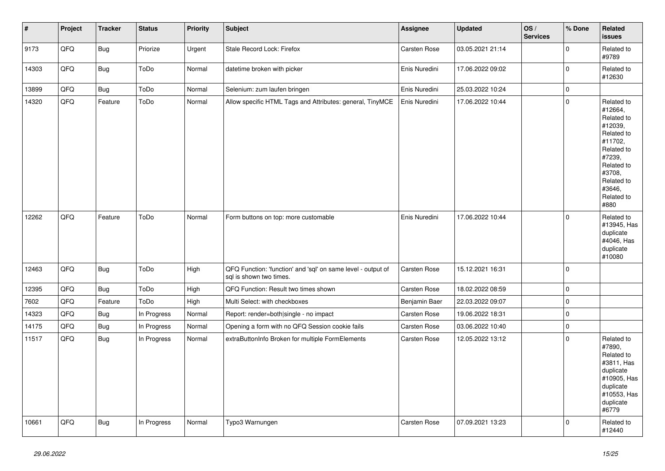| $\vert$ # | Project | <b>Tracker</b> | <b>Status</b> | <b>Priority</b> | <b>Subject</b>                                                                          | <b>Assignee</b> | <b>Updated</b>   | OS/<br><b>Services</b> | % Done              | Related<br>issues                                                                                                                                                     |
|-----------|---------|----------------|---------------|-----------------|-----------------------------------------------------------------------------------------|-----------------|------------------|------------------------|---------------------|-----------------------------------------------------------------------------------------------------------------------------------------------------------------------|
| 9173      | QFQ     | Bug            | Priorize      | Urgent          | Stale Record Lock: Firefox                                                              | Carsten Rose    | 03.05.2021 21:14 |                        | $\mathbf{0}$        | Related to<br>#9789                                                                                                                                                   |
| 14303     | QFQ     | Bug            | ToDo          | Normal          | datetime broken with picker                                                             | Enis Nuredini   | 17.06.2022 09:02 |                        | $\mathsf{O}\xspace$ | Related to<br>#12630                                                                                                                                                  |
| 13899     | QFQ     | <b>Bug</b>     | ToDo          | Normal          | Selenium: zum laufen bringen                                                            | Enis Nuredini   | 25.03.2022 10:24 |                        | $\mathbf{0}$        |                                                                                                                                                                       |
| 14320     | QFQ     | Feature        | ToDo          | Normal          | Allow specific HTML Tags and Attributes: general, TinyMCE                               | Enis Nuredini   | 17.06.2022 10:44 |                        | $\mathbf 0$         | Related to<br>#12664,<br>Related to<br>#12039,<br>Related to<br>#11702,<br>Related to<br>#7239,<br>Related to<br>#3708,<br>Related to<br>#3646,<br>Related to<br>#880 |
| 12262     | QFQ     | Feature        | ToDo          | Normal          | Form buttons on top: more customable                                                    | Enis Nuredini   | 17.06.2022 10:44 |                        | $\Omega$            | Related to<br>#13945, Has<br>duplicate<br>#4046, Has<br>duplicate<br>#10080                                                                                           |
| 12463     | QFQ     | Bug            | ToDo          | High            | QFQ Function: 'function' and 'sql' on same level - output of<br>sql is shown two times. | Carsten Rose    | 15.12.2021 16:31 |                        | $\mathsf{O}\xspace$ |                                                                                                                                                                       |
| 12395     | QFQ     | Bug            | ToDo          | High            | QFQ Function: Result two times shown                                                    | Carsten Rose    | 18.02.2022 08:59 |                        | $\mathsf 0$         |                                                                                                                                                                       |
| 7602      | QFQ     | Feature        | ToDo          | High            | Multi Select: with checkboxes                                                           | Benjamin Baer   | 22.03.2022 09:07 |                        | $\mathbf 0$         |                                                                                                                                                                       |
| 14323     | QFQ     | Bug            | In Progress   | Normal          | Report: render=both single - no impact                                                  | Carsten Rose    | 19.06.2022 18:31 |                        | $\pmb{0}$           |                                                                                                                                                                       |
| 14175     | QFQ     | <b>Bug</b>     | In Progress   | Normal          | Opening a form with no QFQ Session cookie fails                                         | Carsten Rose    | 03.06.2022 10:40 |                        | $\pmb{0}$           |                                                                                                                                                                       |
| 11517     | QFQ     | Bug            | In Progress   | Normal          | extraButtonInfo Broken for multiple FormElements                                        | Carsten Rose    | 12.05.2022 13:12 |                        | $\pmb{0}$           | Related to<br>#7890,<br>Related to<br>#3811, Has<br>duplicate<br>#10905, Has<br>duplicate<br>#10553, Has<br>duplicate<br>#6779                                        |
| 10661     | QFQ     | Bug            | In Progress   | Normal          | Typo3 Warnungen                                                                         | Carsten Rose    | 07.09.2021 13:23 |                        | $\mathbf 0$         | Related to<br>#12440                                                                                                                                                  |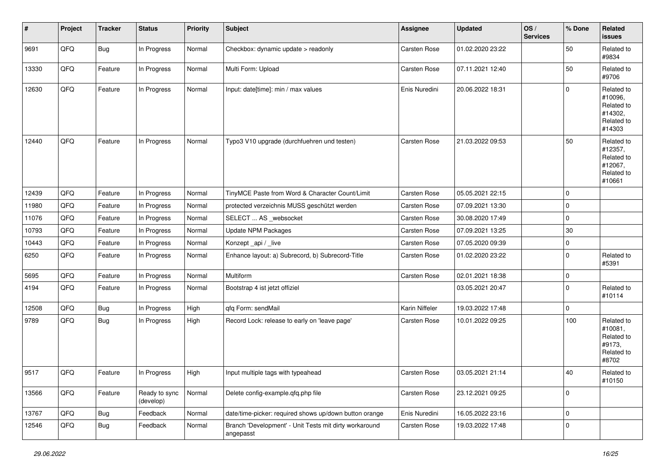| $\vert$ # | Project | <b>Tracker</b> | <b>Status</b>              | <b>Priority</b> | <b>Subject</b>                                                      | <b>Assignee</b> | <b>Updated</b>   | OS/<br><b>Services</b> | % Done              | <b>Related</b><br>issues                                               |
|-----------|---------|----------------|----------------------------|-----------------|---------------------------------------------------------------------|-----------------|------------------|------------------------|---------------------|------------------------------------------------------------------------|
| 9691      | QFQ     | <b>Bug</b>     | In Progress                | Normal          | Checkbox: dynamic update > readonly                                 | Carsten Rose    | 01.02.2020 23:22 |                        | 50                  | Related to<br>#9834                                                    |
| 13330     | QFQ     | Feature        | In Progress                | Normal          | Multi Form: Upload                                                  | Carsten Rose    | 07.11.2021 12:40 |                        | 50                  | Related to<br>#9706                                                    |
| 12630     | QFQ     | Feature        | In Progress                | Normal          | Input: date[time]: min / max values                                 | Enis Nuredini   | 20.06.2022 18:31 |                        | $\mathbf 0$         | Related to<br>#10096,<br>Related to<br>#14302,<br>Related to<br>#14303 |
| 12440     | QFQ     | Feature        | In Progress                | Normal          | Typo3 V10 upgrade (durchfuehren und testen)                         | Carsten Rose    | 21.03.2022 09:53 |                        | 50                  | Related to<br>#12357,<br>Related to<br>#12067,<br>Related to<br>#10661 |
| 12439     | QFQ     | Feature        | In Progress                | Normal          | TinyMCE Paste from Word & Character Count/Limit                     | Carsten Rose    | 05.05.2021 22:15 |                        | 0                   |                                                                        |
| 11980     | QFQ     | Feature        | In Progress                | Normal          | protected verzeichnis MUSS geschützt werden                         | Carsten Rose    | 07.09.2021 13:30 |                        | $\pmb{0}$           |                                                                        |
| 11076     | QFQ     | Feature        | In Progress                | Normal          | SELECT  AS _websocket                                               | Carsten Rose    | 30.08.2020 17:49 |                        | $\pmb{0}$           |                                                                        |
| 10793     | QFQ     | Feature        | In Progress                | Normal          | <b>Update NPM Packages</b>                                          | Carsten Rose    | 07.09.2021 13:25 |                        | $30\,$              |                                                                        |
| 10443     | QFQ     | Feature        | In Progress                | Normal          | Konzept_api / _live                                                 | Carsten Rose    | 07.05.2020 09:39 |                        | 0                   |                                                                        |
| 6250      | QFQ     | Feature        | In Progress                | Normal          | Enhance layout: a) Subrecord, b) Subrecord-Title                    | Carsten Rose    | 01.02.2020 23:22 |                        | $\pmb{0}$           | Related to<br>#5391                                                    |
| 5695      | QFQ     | Feature        | In Progress                | Normal          | Multiform                                                           | Carsten Rose    | 02.01.2021 18:38 |                        | 0                   |                                                                        |
| 4194      | QFQ     | Feature        | In Progress                | Normal          | Bootstrap 4 ist jetzt offiziel                                      |                 | 03.05.2021 20:47 |                        | 0                   | Related to<br>#10114                                                   |
| 12508     | QFQ     | <b>Bug</b>     | In Progress                | High            | qfq Form: sendMail                                                  | Karin Niffeler  | 19.03.2022 17:48 |                        | $\pmb{0}$           |                                                                        |
| 9789      | QFQ     | Bug            | In Progress                | High            | Record Lock: release to early on 'leave page'                       | Carsten Rose    | 10.01.2022 09:25 |                        | 100                 | Related to<br>#10081,<br>Related to<br>#9173,<br>Related to<br>#8702   |
| 9517      | QFQ     | Feature        | In Progress                | High            | Input multiple tags with typeahead                                  | Carsten Rose    | 03.05.2021 21:14 |                        | 40                  | Related to<br>#10150                                                   |
| 13566     | QFQ     | Feature        | Ready to sync<br>(develop) | Normal          | Delete config-example.qfq.php file                                  | Carsten Rose    | 23.12.2021 09:25 |                        | 0                   |                                                                        |
| 13767     | QFQ     | <b>Bug</b>     | Feedback                   | Normal          | date/time-picker: required shows up/down button orange              | Enis Nuredini   | 16.05.2022 23:16 |                        | 0                   |                                                                        |
| 12546     | QFQ     | <b>Bug</b>     | Feedback                   | Normal          | Branch 'Development' - Unit Tests mit dirty workaround<br>angepasst | Carsten Rose    | 19.03.2022 17:48 |                        | $\mathsf{O}\xspace$ |                                                                        |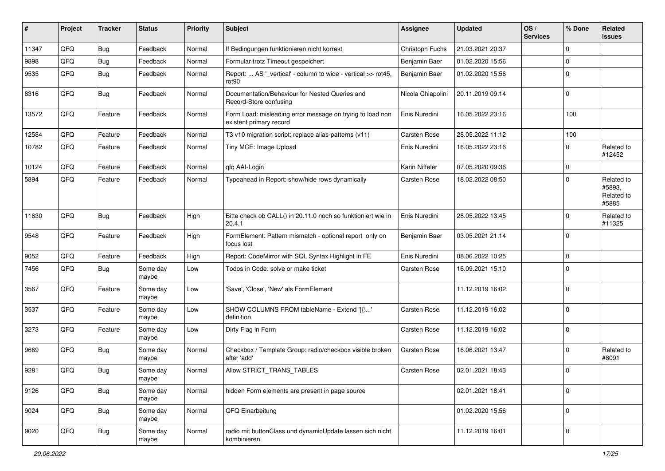| $\vert$ # | Project | <b>Tracker</b> | <b>Status</b>     | <b>Priority</b> | Subject                                                                              | Assignee          | <b>Updated</b>   | OS/<br><b>Services</b> | % Done      | <b>Related</b><br><b>issues</b>             |
|-----------|---------|----------------|-------------------|-----------------|--------------------------------------------------------------------------------------|-------------------|------------------|------------------------|-------------|---------------------------------------------|
| 11347     | QFQ     | <b>Bug</b>     | Feedback          | Normal          | If Bedingungen funktionieren nicht korrekt                                           | Christoph Fuchs   | 21.03.2021 20:37 |                        | $\mathbf 0$ |                                             |
| 9898      | QFQ     | <b>Bug</b>     | Feedback          | Normal          | Formular trotz Timeout gespeichert                                                   | Benjamin Baer     | 01.02.2020 15:56 |                        | $\mathbf 0$ |                                             |
| 9535      | QFQ     | Bug            | Feedback          | Normal          | Report:  AS '_vertical' - column to wide - vertical >> rot45,<br>rot90               | Benjamin Baer     | 01.02.2020 15:56 |                        | $\mathbf 0$ |                                             |
| 8316      | QFQ     | Bug            | Feedback          | Normal          | Documentation/Behaviour for Nested Queries and<br>Record-Store confusing             | Nicola Chiapolini | 20.11.2019 09:14 |                        | $\mathbf 0$ |                                             |
| 13572     | QFQ     | Feature        | Feedback          | Normal          | Form Load: misleading error message on trying to load non<br>existent primary record | Enis Nuredini     | 16.05.2022 23:16 |                        | 100         |                                             |
| 12584     | QFQ     | Feature        | Feedback          | Normal          | T3 v10 migration script: replace alias-patterns (v11)                                | Carsten Rose      | 28.05.2022 11:12 |                        | 100         |                                             |
| 10782     | QFQ     | Feature        | Feedback          | Normal          | Tiny MCE: Image Upload                                                               | Enis Nuredini     | 16.05.2022 23:16 |                        | $\mathbf 0$ | Related to<br>#12452                        |
| 10124     | QFQ     | Feature        | Feedback          | Normal          | qfq AAI-Login                                                                        | Karin Niffeler    | 07.05.2020 09:36 |                        | $\mathbf 0$ |                                             |
| 5894      | QFQ     | Feature        | Feedback          | Normal          | Typeahead in Report: show/hide rows dynamically                                      | Carsten Rose      | 18.02.2022 08:50 |                        | $\mathbf 0$ | Related to<br>#5893,<br>Related to<br>#5885 |
| 11630     | QFQ     | Bug            | Feedback          | High            | Bitte check ob CALL() in 20.11.0 noch so funktioniert wie in<br>20.4.1               | Enis Nuredini     | 28.05.2022 13:45 |                        | $\mathbf 0$ | Related to<br>#11325                        |
| 9548      | QFQ     | Feature        | Feedback          | High            | FormElement: Pattern mismatch - optional report only on<br>focus lost                | Benjamin Baer     | 03.05.2021 21:14 |                        | $\mathbf 0$ |                                             |
| 9052      | QFQ     | Feature        | Feedback          | High            | Report: CodeMirror with SQL Syntax Highlight in FE                                   | Enis Nuredini     | 08.06.2022 10:25 |                        | $\mathbf 0$ |                                             |
| 7456      | QFQ     | Bug            | Some day<br>maybe | Low             | Todos in Code: solve or make ticket                                                  | Carsten Rose      | 16.09.2021 15:10 |                        | $\Omega$    |                                             |
| 3567      | QFQ     | Feature        | Some day<br>maybe | Low             | 'Save', 'Close', 'New' als FormElement                                               |                   | 11.12.2019 16:02 |                        | $\mathbf 0$ |                                             |
| 3537      | QFQ     | Feature        | Some day<br>maybe | Low             | SHOW COLUMNS FROM tableName - Extend '{{!'<br>definition                             | Carsten Rose      | 11.12.2019 16:02 |                        | $\mathbf 0$ |                                             |
| 3273      | QFQ     | Feature        | Some day<br>maybe | Low             | Dirty Flag in Form                                                                   | Carsten Rose      | 11.12.2019 16:02 |                        | $\mathbf 0$ |                                             |
| 9669      | QFQ     | <b>Bug</b>     | Some day<br>maybe | Normal          | Checkbox / Template Group: radio/checkbox visible broken<br>after 'add'              | Carsten Rose      | 16.06.2021 13:47 |                        | $\mathbf 0$ | Related to<br>#8091                         |
| 9281      | QFQ     | <b>Bug</b>     | Some day<br>maybe | Normal          | Allow STRICT_TRANS_TABLES                                                            | Carsten Rose      | 02.01.2021 18:43 |                        | $\mathbf 0$ |                                             |
| 9126      | QFQ     | <b>Bug</b>     | Some day<br>maybe | Normal          | hidden Form elements are present in page source                                      |                   | 02.01.2021 18:41 |                        | $\mathbf 0$ |                                             |
| 9024      | QFQ     | <b>Bug</b>     | Some day<br>maybe | Normal          | QFQ Einarbeitung                                                                     |                   | 01.02.2020 15:56 |                        | $\mathbf 0$ |                                             |
| 9020      | QFQ     | <b>Bug</b>     | Some day<br>maybe | Normal          | radio mit buttonClass und dynamicUpdate lassen sich nicht<br>kombinieren             |                   | 11.12.2019 16:01 |                        | $\mathbf 0$ |                                             |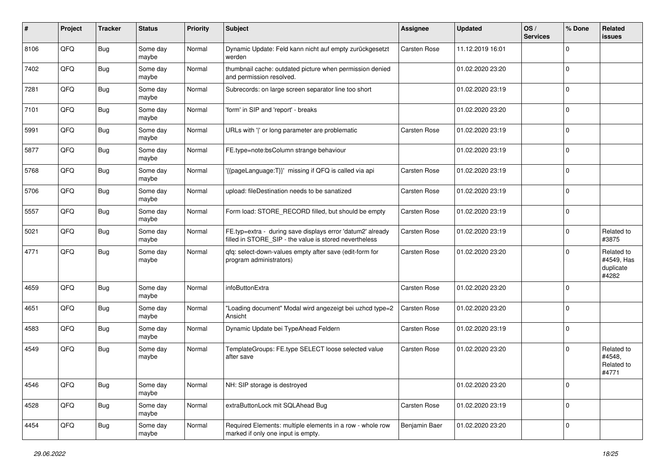| #    | Project | <b>Tracker</b> | <b>Status</b>     | <b>Priority</b> | Subject                                                                                                              | <b>Assignee</b>     | <b>Updated</b>   | OS/<br><b>Services</b> | % Done      | <b>Related</b><br>issues                       |
|------|---------|----------------|-------------------|-----------------|----------------------------------------------------------------------------------------------------------------------|---------------------|------------------|------------------------|-------------|------------------------------------------------|
| 8106 | QFQ     | Bug            | Some day<br>maybe | Normal          | Dynamic Update: Feld kann nicht auf empty zurückgesetzt<br>werden                                                    | Carsten Rose        | 11.12.2019 16:01 |                        | $\mathbf 0$ |                                                |
| 7402 | QFQ     | Bug            | Some day<br>maybe | Normal          | thumbnail cache: outdated picture when permission denied<br>and permission resolved.                                 |                     | 01.02.2020 23:20 |                        | $\mathbf 0$ |                                                |
| 7281 | QFQ     | <b>Bug</b>     | Some day<br>maybe | Normal          | Subrecords: on large screen separator line too short                                                                 |                     | 01.02.2020 23:19 |                        | $\mathbf 0$ |                                                |
| 7101 | QFQ     | Bug            | Some day<br>maybe | Normal          | 'form' in SIP and 'report' - breaks                                                                                  |                     | 01.02.2020 23:20 |                        | $\mathbf 0$ |                                                |
| 5991 | QFQ     | <b>Bug</b>     | Some day<br>maybe | Normal          | URLs with 'I' or long parameter are problematic                                                                      | <b>Carsten Rose</b> | 01.02.2020 23:19 |                        | $\mathbf 0$ |                                                |
| 5877 | QFQ     | Bug            | Some day<br>maybe | Normal          | FE.type=note:bsColumn strange behaviour                                                                              |                     | 01.02.2020 23:19 |                        | $\Omega$    |                                                |
| 5768 | QFQ     | Bug            | Some day<br>maybe | Normal          | '{{pageLanguage:T}}' missing if QFQ is called via api                                                                | Carsten Rose        | 01.02.2020 23:19 |                        | $\mathbf 0$ |                                                |
| 5706 | QFQ     | <b>Bug</b>     | Some day<br>maybe | Normal          | upload: fileDestination needs to be sanatized                                                                        | <b>Carsten Rose</b> | 01.02.2020 23:19 |                        | $\mathbf 0$ |                                                |
| 5557 | QFQ     | Bug            | Some day<br>maybe | Normal          | Form load: STORE_RECORD filled, but should be empty                                                                  | Carsten Rose        | 01.02.2020 23:19 |                        | $\mathbf 0$ |                                                |
| 5021 | QFQ     | <b>Bug</b>     | Some day<br>maybe | Normal          | FE.typ=extra - during save displays error 'datum2' already<br>filled in STORE_SIP - the value is stored nevertheless | <b>Carsten Rose</b> | 01.02.2020 23:19 |                        | $\mathbf 0$ | Related to<br>#3875                            |
| 4771 | QFQ     | Bug            | Some day<br>maybe | Normal          | qfq: select-down-values empty after save (edit-form for<br>program administrators)                                   | <b>Carsten Rose</b> | 01.02.2020 23:20 |                        | $\Omega$    | Related to<br>#4549, Has<br>duplicate<br>#4282 |
| 4659 | QFQ     | Bug            | Some day<br>maybe | Normal          | infoButtonExtra                                                                                                      | <b>Carsten Rose</b> | 01.02.2020 23:20 |                        | $\Omega$    |                                                |
| 4651 | QFQ     | <b>Bug</b>     | Some day<br>maybe | Normal          | "Loading document" Modal wird angezeigt bei uzhcd type=2<br>Ansicht                                                  | Carsten Rose        | 01.02.2020 23:20 |                        | $\mathbf 0$ |                                                |
| 4583 | QFQ     | <b>Bug</b>     | Some day<br>maybe | Normal          | Dynamic Update bei TypeAhead Feldern                                                                                 | Carsten Rose        | 01.02.2020 23:19 |                        | $\mathbf 0$ |                                                |
| 4549 | QFQ     | Bug            | Some day<br>maybe | Normal          | TemplateGroups: FE.type SELECT loose selected value<br>after save                                                    | <b>Carsten Rose</b> | 01.02.2020 23:20 |                        | $\mathbf 0$ | Related to<br>#4548,<br>Related to<br>#4771    |
| 4546 | QFQ     | Bug            | Some day<br>maybe | Normal          | NH: SIP storage is destroyed                                                                                         |                     | 01.02.2020 23:20 |                        | $\mathbf 0$ |                                                |
| 4528 | QFQ     | <b>Bug</b>     | Some day<br>maybe | Normal          | extraButtonLock mit SQLAhead Bug                                                                                     | Carsten Rose        | 01.02.2020 23:19 |                        | $\mathbf 0$ |                                                |
| 4454 | QFQ     | Bug            | Some day<br>maybe | Normal          | Required Elements: multiple elements in a row - whole row<br>marked if only one input is empty.                      | Benjamin Baer       | 01.02.2020 23:20 |                        | $\mathbf 0$ |                                                |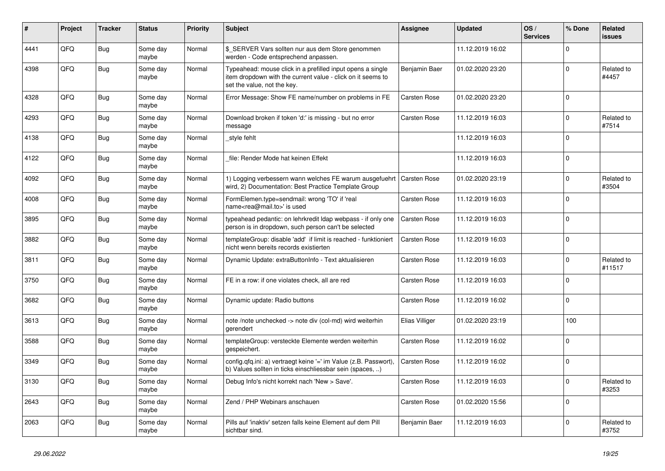| #    | Project | <b>Tracker</b> | <b>Status</b>     | <b>Priority</b> | <b>Subject</b>                                                                                                                                           | <b>Assignee</b> | <b>Updated</b>   | OS/<br><b>Services</b> | % Done      | Related<br><b>issues</b> |
|------|---------|----------------|-------------------|-----------------|----------------------------------------------------------------------------------------------------------------------------------------------------------|-----------------|------------------|------------------------|-------------|--------------------------|
| 4441 | QFQ     | <b>Bug</b>     | Some day<br>maybe | Normal          | \$_SERVER Vars sollten nur aus dem Store genommen<br>werden - Code entsprechend anpassen.                                                                |                 | 11.12.2019 16:02 |                        | $\Omega$    |                          |
| 4398 | QFQ     | <b>Bug</b>     | Some day<br>maybe | Normal          | Typeahead: mouse click in a prefilled input opens a single<br>item dropdown with the current value - click on it seems to<br>set the value, not the key. | Benjamin Baer   | 01.02.2020 23:20 |                        | $\mathbf 0$ | Related to<br>#4457      |
| 4328 | QFQ     | Bug            | Some day<br>maybe | Normal          | Error Message: Show FE name/number on problems in FE                                                                                                     | Carsten Rose    | 01.02.2020 23:20 |                        | $\Omega$    |                          |
| 4293 | QFQ     | <b>Bug</b>     | Some day<br>maybe | Normal          | Download broken if token 'd:' is missing - but no error<br>message                                                                                       | Carsten Rose    | 11.12.2019 16:03 |                        | $\mathbf 0$ | Related to<br>#7514      |
| 4138 | QFQ     | Bug            | Some day<br>maybe | Normal          | style fehlt                                                                                                                                              |                 | 11.12.2019 16:03 |                        | $\mathbf 0$ |                          |
| 4122 | QFQ     | <b>Bug</b>     | Some day<br>maybe | Normal          | file: Render Mode hat keinen Effekt                                                                                                                      |                 | 11.12.2019 16:03 |                        | $\Omega$    |                          |
| 4092 | QFQ     | <b>Bug</b>     | Some day<br>maybe | Normal          | 1) Logging verbessern wann welches FE warum ausgefuehrt<br>wird, 2) Documentation: Best Practice Template Group                                          | Carsten Rose    | 01.02.2020 23:19 |                        | $\Omega$    | Related to<br>#3504      |
| 4008 | QFQ     | <b>Bug</b>     | Some day<br>maybe | Normal          | FormElemen.type=sendmail: wrong 'TO' if 'real<br>name <rea@mail.to>' is used</rea@mail.to>                                                               | Carsten Rose    | 11.12.2019 16:03 |                        | $\Omega$    |                          |
| 3895 | QFQ     | <b>Bug</b>     | Some day<br>maybe | Normal          | typeahead pedantic: on lehrkredit Idap webpass - if only one<br>person is in dropdown, such person can't be selected                                     | Carsten Rose    | 11.12.2019 16:03 |                        | $\Omega$    |                          |
| 3882 | QFQ     | Bug            | Some day<br>maybe | Normal          | templateGroup: disable 'add' if limit is reached - funktioniert<br>nicht wenn bereits records existierten                                                | Carsten Rose    | 11.12.2019 16:03 |                        | $\mathbf 0$ |                          |
| 3811 | QFQ     | Bug            | Some day<br>maybe | Normal          | Dynamic Update: extraButtonInfo - Text aktualisieren                                                                                                     | Carsten Rose    | 11.12.2019 16:03 |                        | $\mathbf 0$ | Related to<br>#11517     |
| 3750 | QFQ     | <b>Bug</b>     | Some day<br>maybe | Normal          | FE in a row: if one violates check, all are red                                                                                                          | Carsten Rose    | 11.12.2019 16:03 |                        | $\Omega$    |                          |
| 3682 | QFQ     | <b>Bug</b>     | Some day<br>maybe | Normal          | Dynamic update: Radio buttons                                                                                                                            | Carsten Rose    | 11.12.2019 16:02 |                        | $\mathbf 0$ |                          |
| 3613 | QFQ     | Bug            | Some day<br>maybe | Normal          | note /note unchecked -> note div (col-md) wird weiterhin<br>gerendert                                                                                    | Elias Villiger  | 01.02.2020 23:19 |                        | 100         |                          |
| 3588 | QFQ     | Bug            | Some day<br>maybe | Normal          | templateGroup: versteckte Elemente werden weiterhin<br>gespeichert.                                                                                      | Carsten Rose    | 11.12.2019 16:02 |                        | $\mathbf 0$ |                          |
| 3349 | QFQ     | Bug            | Some day<br>maybe | Normal          | config.qfq.ini: a) vertraegt keine '=' im Value (z.B. Passwort),<br>b) Values sollten in ticks einschliessbar sein (spaces, )                            | Carsten Rose    | 11.12.2019 16:02 |                        | $\Omega$    |                          |
| 3130 | QFQ     | <b>Bug</b>     | Some day<br>maybe | Normal          | Debug Info's nicht korrekt nach 'New > Save'.                                                                                                            | Carsten Rose    | 11.12.2019 16:03 |                        | $\Omega$    | Related to<br>#3253      |
| 2643 | QFQ     | Bug            | Some day<br>maybe | Normal          | Zend / PHP Webinars anschauen                                                                                                                            | Carsten Rose    | 01.02.2020 15:56 |                        | $\Omega$    |                          |
| 2063 | QFQ     | Bug            | Some day<br>maybe | Normal          | Pills auf 'inaktiv' setzen falls keine Element auf dem Pill<br>sichtbar sind.                                                                            | Benjamin Baer   | 11.12.2019 16:03 |                        | $\Omega$    | Related to<br>#3752      |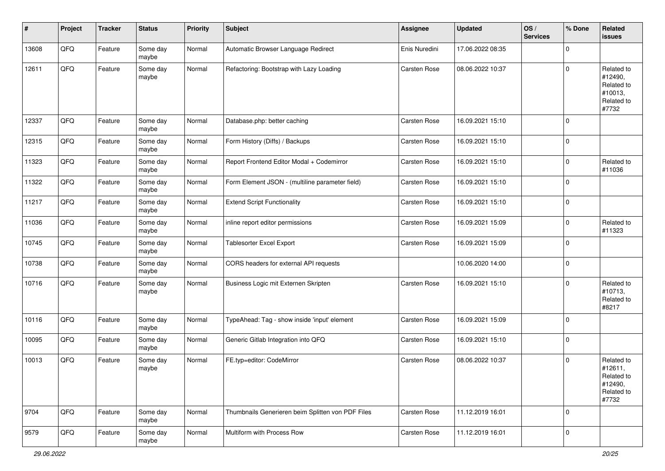| #     | Project | <b>Tracker</b> | <b>Status</b>     | <b>Priority</b> | <b>Subject</b>                                    | <b>Assignee</b> | <b>Updated</b>   | OS/<br><b>Services</b> | % Done      | Related<br>issues                                                     |
|-------|---------|----------------|-------------------|-----------------|---------------------------------------------------|-----------------|------------------|------------------------|-------------|-----------------------------------------------------------------------|
| 13608 | QFQ     | Feature        | Some day<br>maybe | Normal          | Automatic Browser Language Redirect               | Enis Nuredini   | 17.06.2022 08:35 |                        | $\Omega$    |                                                                       |
| 12611 | QFQ     | Feature        | Some day<br>maybe | Normal          | Refactoring: Bootstrap with Lazy Loading          | Carsten Rose    | 08.06.2022 10:37 |                        | $\mathbf 0$ | Related to<br>#12490,<br>Related to<br>#10013,<br>Related to<br>#7732 |
| 12337 | QFQ     | Feature        | Some day<br>maybe | Normal          | Database.php: better caching                      | Carsten Rose    | 16.09.2021 15:10 |                        | $\mathbf 0$ |                                                                       |
| 12315 | QFQ     | Feature        | Some day<br>maybe | Normal          | Form History (Diffs) / Backups                    | Carsten Rose    | 16.09.2021 15:10 |                        | $\mathbf 0$ |                                                                       |
| 11323 | QFQ     | Feature        | Some day<br>maybe | Normal          | Report Frontend Editor Modal + Codemirror         | Carsten Rose    | 16.09.2021 15:10 |                        | $\mathbf 0$ | Related to<br>#11036                                                  |
| 11322 | QFQ     | Feature        | Some day<br>maybe | Normal          | Form Element JSON - (multiline parameter field)   | Carsten Rose    | 16.09.2021 15:10 |                        | $\mathbf 0$ |                                                                       |
| 11217 | QFQ     | Feature        | Some day<br>maybe | Normal          | <b>Extend Script Functionality</b>                | Carsten Rose    | 16.09.2021 15:10 |                        | $\mathbf 0$ |                                                                       |
| 11036 | QFQ     | Feature        | Some day<br>maybe | Normal          | inline report editor permissions                  | Carsten Rose    | 16.09.2021 15:09 |                        | $\mathbf 0$ | Related to<br>#11323                                                  |
| 10745 | QFQ     | Feature        | Some day<br>maybe | Normal          | Tablesorter Excel Export                          | Carsten Rose    | 16.09.2021 15:09 |                        | $\mathbf 0$ |                                                                       |
| 10738 | QFQ     | Feature        | Some day<br>maybe | Normal          | CORS headers for external API requests            |                 | 10.06.2020 14:00 |                        | $\mathbf 0$ |                                                                       |
| 10716 | QFQ     | Feature        | Some day<br>maybe | Normal          | Business Logic mit Externen Skripten              | Carsten Rose    | 16.09.2021 15:10 |                        | $\Omega$    | Related to<br>#10713,<br>Related to<br>#8217                          |
| 10116 | QFQ     | Feature        | Some day<br>maybe | Normal          | TypeAhead: Tag - show inside 'input' element      | Carsten Rose    | 16.09.2021 15:09 |                        | $\Omega$    |                                                                       |
| 10095 | QFQ     | Feature        | Some day<br>maybe | Normal          | Generic Gitlab Integration into QFQ               | Carsten Rose    | 16.09.2021 15:10 |                        | $\mathbf 0$ |                                                                       |
| 10013 | QFQ     | Feature        | Some day<br>maybe | Normal          | FE.typ=editor: CodeMirror                         | Carsten Rose    | 08.06.2022 10:37 |                        | $\mathbf 0$ | Related to<br>#12611,<br>Related to<br>#12490,<br>Related to<br>#7732 |
| 9704  | QFQ     | Feature        | Some day<br>maybe | Normal          | Thumbnails Generieren beim Splitten von PDF Files | Carsten Rose    | 11.12.2019 16:01 |                        | $\mathbf 0$ |                                                                       |
| 9579  | QFQ     | Feature        | Some day<br>maybe | Normal          | Multiform with Process Row                        | Carsten Rose    | 11.12.2019 16:01 |                        | $\mathbf 0$ |                                                                       |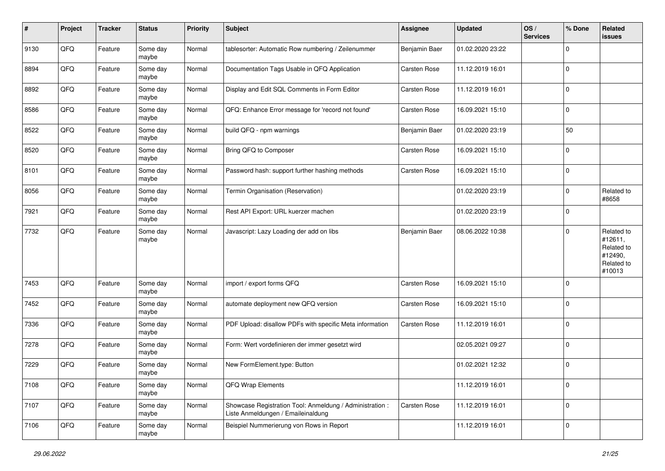| #    | Project | <b>Tracker</b> | <b>Status</b>     | <b>Priority</b> | <b>Subject</b>                                                                                 | Assignee      | <b>Updated</b>   | OS/<br><b>Services</b> | % Done      | <b>Related</b><br>issues                                               |
|------|---------|----------------|-------------------|-----------------|------------------------------------------------------------------------------------------------|---------------|------------------|------------------------|-------------|------------------------------------------------------------------------|
| 9130 | QFQ     | Feature        | Some day<br>maybe | Normal          | tablesorter: Automatic Row numbering / Zeilenummer                                             | Benjamin Baer | 01.02.2020 23:22 |                        | $\mathbf 0$ |                                                                        |
| 8894 | QFQ     | Feature        | Some day<br>maybe | Normal          | Documentation Tags Usable in QFQ Application                                                   | Carsten Rose  | 11.12.2019 16:01 |                        | $\mathbf 0$ |                                                                        |
| 8892 | QFQ     | Feature        | Some day<br>maybe | Normal          | Display and Edit SQL Comments in Form Editor                                                   | Carsten Rose  | 11.12.2019 16:01 |                        | $\mathbf 0$ |                                                                        |
| 8586 | QFQ     | Feature        | Some day<br>maybe | Normal          | QFQ: Enhance Error message for 'record not found'                                              | Carsten Rose  | 16.09.2021 15:10 |                        | $\mathbf 0$ |                                                                        |
| 8522 | QFQ     | Feature        | Some day<br>maybe | Normal          | build QFQ - npm warnings                                                                       | Benjamin Baer | 01.02.2020 23:19 |                        | 50          |                                                                        |
| 8520 | QFQ     | Feature        | Some day<br>maybe | Normal          | Bring QFQ to Composer                                                                          | Carsten Rose  | 16.09.2021 15:10 |                        | $\mathbf 0$ |                                                                        |
| 8101 | QFQ     | Feature        | Some day<br>maybe | Normal          | Password hash: support further hashing methods                                                 | Carsten Rose  | 16.09.2021 15:10 |                        | $\mathbf 0$ |                                                                        |
| 8056 | QFQ     | Feature        | Some day<br>maybe | Normal          | Termin Organisation (Reservation)                                                              |               | 01.02.2020 23:19 |                        | $\mathbf 0$ | Related to<br>#8658                                                    |
| 7921 | QFQ     | Feature        | Some day<br>maybe | Normal          | Rest API Export: URL kuerzer machen                                                            |               | 01.02.2020 23:19 |                        | $\mathbf 0$ |                                                                        |
| 7732 | QFQ     | Feature        | Some day<br>maybe | Normal          | Javascript: Lazy Loading der add on libs                                                       | Benjamin Baer | 08.06.2022 10:38 |                        | $\mathbf 0$ | Related to<br>#12611,<br>Related to<br>#12490,<br>Related to<br>#10013 |
| 7453 | QFQ     | Feature        | Some day<br>maybe | Normal          | import / export forms QFQ                                                                      | Carsten Rose  | 16.09.2021 15:10 |                        | $\mathbf 0$ |                                                                        |
| 7452 | QFQ     | Feature        | Some day<br>maybe | Normal          | automate deployment new QFQ version                                                            | Carsten Rose  | 16.09.2021 15:10 |                        | $\mathbf 0$ |                                                                        |
| 7336 | QFQ     | Feature        | Some day<br>maybe | Normal          | PDF Upload: disallow PDFs with specific Meta information                                       | Carsten Rose  | 11.12.2019 16:01 |                        | $\mathbf 0$ |                                                                        |
| 7278 | QFQ     | Feature        | Some day<br>maybe | Normal          | Form: Wert vordefinieren der immer gesetzt wird                                                |               | 02.05.2021 09:27 |                        | $\mathbf 0$ |                                                                        |
| 7229 | QFQ     | Feature        | Some day<br>maybe | Normal          | New FormElement.type: Button                                                                   |               | 01.02.2021 12:32 |                        | $\mathbf 0$ |                                                                        |
| 7108 | QFQ     | Feature        | Some day<br>maybe | Normal          | QFQ Wrap Elements                                                                              |               | 11.12.2019 16:01 |                        | $\mathbf 0$ |                                                                        |
| 7107 | QFQ     | Feature        | Some day<br>maybe | Normal          | Showcase Registration Tool: Anmeldung / Administration :<br>Liste Anmeldungen / Emaileinaldung | Carsten Rose  | 11.12.2019 16:01 |                        | $\pmb{0}$   |                                                                        |
| 7106 | QFQ     | Feature        | Some day<br>maybe | Normal          | Beispiel Nummerierung von Rows in Report                                                       |               | 11.12.2019 16:01 |                        | $\mathbf 0$ |                                                                        |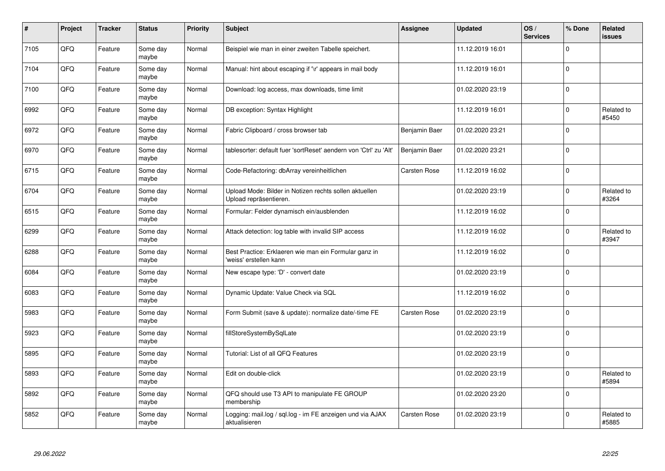| $\pmb{\#}$ | Project | <b>Tracker</b> | <b>Status</b>     | <b>Priority</b> | <b>Subject</b>                                                                   | <b>Assignee</b> | <b>Updated</b>   | OS/<br><b>Services</b> | % Done      | Related<br><b>issues</b> |
|------------|---------|----------------|-------------------|-----------------|----------------------------------------------------------------------------------|-----------------|------------------|------------------------|-------------|--------------------------|
| 7105       | QFQ     | Feature        | Some day<br>maybe | Normal          | Beispiel wie man in einer zweiten Tabelle speichert.                             |                 | 11.12.2019 16:01 |                        | $\Omega$    |                          |
| 7104       | QFQ     | Feature        | Some day<br>maybe | Normal          | Manual: hint about escaping if '\r' appears in mail body                         |                 | 11.12.2019 16:01 |                        | $\Omega$    |                          |
| 7100       | QFQ     | Feature        | Some day<br>maybe | Normal          | Download: log access, max downloads, time limit                                  |                 | 01.02.2020 23:19 |                        | $\Omega$    |                          |
| 6992       | QFQ     | Feature        | Some day<br>maybe | Normal          | DB exception: Syntax Highlight                                                   |                 | 11.12.2019 16:01 |                        | $\Omega$    | Related to<br>#5450      |
| 6972       | QFQ     | Feature        | Some day<br>maybe | Normal          | Fabric Clipboard / cross browser tab                                             | Benjamin Baer   | 01.02.2020 23:21 |                        | $\Omega$    |                          |
| 6970       | QFQ     | Feature        | Some day<br>maybe | Normal          | tablesorter: default fuer 'sortReset' aendern von 'Ctrl' zu 'Alt'                | Benjamin Baer   | 01.02.2020 23:21 |                        | $\Omega$    |                          |
| 6715       | QFQ     | Feature        | Some day<br>maybe | Normal          | Code-Refactoring: dbArray vereinheitlichen                                       | Carsten Rose    | 11.12.2019 16:02 |                        | $\Omega$    |                          |
| 6704       | QFQ     | Feature        | Some day<br>maybe | Normal          | Upload Mode: Bilder in Notizen rechts sollen aktuellen<br>Upload repräsentieren. |                 | 01.02.2020 23:19 |                        | $\Omega$    | Related to<br>#3264      |
| 6515       | QFQ     | Feature        | Some day<br>maybe | Normal          | Formular: Felder dynamisch ein/ausblenden                                        |                 | 11.12.2019 16:02 |                        | $\Omega$    |                          |
| 6299       | QFQ     | Feature        | Some day<br>maybe | Normal          | Attack detection: log table with invalid SIP access                              |                 | 11.12.2019 16:02 |                        | $\mathbf 0$ | Related to<br>#3947      |
| 6288       | QFQ     | Feature        | Some day<br>maybe | Normal          | Best Practice: Erklaeren wie man ein Formular ganz in<br>'weiss' erstellen kann  |                 | 11.12.2019 16:02 |                        | $\Omega$    |                          |
| 6084       | QFQ     | Feature        | Some day<br>maybe | Normal          | New escape type: 'D' - convert date                                              |                 | 01.02.2020 23:19 |                        | $\Omega$    |                          |
| 6083       | QFQ     | Feature        | Some day<br>maybe | Normal          | Dynamic Update: Value Check via SQL                                              |                 | 11.12.2019 16:02 |                        | $\Omega$    |                          |
| 5983       | QFQ     | Feature        | Some day<br>maybe | Normal          | Form Submit (save & update): normalize date/-time FE                             | Carsten Rose    | 01.02.2020 23:19 |                        | $\Omega$    |                          |
| 5923       | QFQ     | Feature        | Some day<br>maybe | Normal          | fillStoreSystemBySqlLate                                                         |                 | 01.02.2020 23:19 |                        | $\Omega$    |                          |
| 5895       | QFQ     | Feature        | Some day<br>maybe | Normal          | Tutorial: List of all QFQ Features                                               |                 | 01.02.2020 23:19 |                        | $\Omega$    |                          |
| 5893       | QFQ     | Feature        | Some day<br>maybe | Normal          | Edit on double-click                                                             |                 | 01.02.2020 23:19 |                        | $\Omega$    | Related to<br>#5894      |
| 5892       | QFQ     | Feature        | Some day<br>maybe | Normal          | QFQ should use T3 API to manipulate FE GROUP<br>membership                       |                 | 01.02.2020 23:20 |                        | $\Omega$    |                          |
| 5852       | QFQ     | Feature        | Some day<br>maybe | Normal          | Logging: mail.log / sql.log - im FE anzeigen und via AJAX<br>aktualisieren       | Carsten Rose    | 01.02.2020 23:19 |                        | $\Omega$    | Related to<br>#5885      |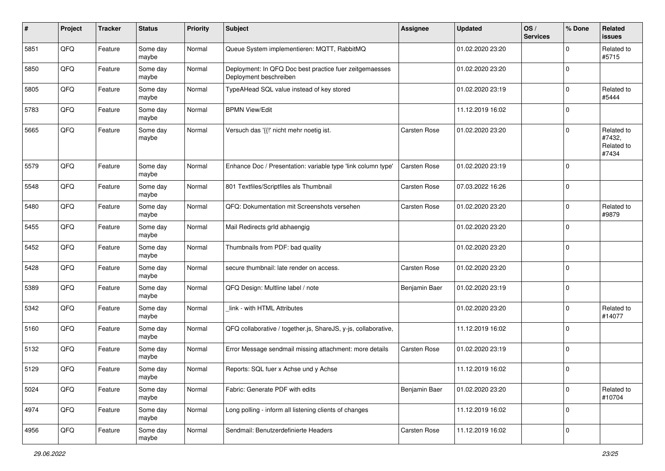| #    | Project | <b>Tracker</b> | <b>Status</b>     | <b>Priority</b> | <b>Subject</b>                                                                    | Assignee      | <b>Updated</b>   | OS/<br><b>Services</b> | % Done      | Related<br><b>issues</b>                    |
|------|---------|----------------|-------------------|-----------------|-----------------------------------------------------------------------------------|---------------|------------------|------------------------|-------------|---------------------------------------------|
| 5851 | QFQ     | Feature        | Some day<br>maybe | Normal          | Queue System implementieren: MQTT, RabbitMQ                                       |               | 01.02.2020 23:20 |                        | $\mathbf 0$ | Related to<br>#5715                         |
| 5850 | QFQ     | Feature        | Some day<br>maybe | Normal          | Deployment: In QFQ Doc best practice fuer zeitgemaesses<br>Deployment beschreiben |               | 01.02.2020 23:20 |                        | $\mathbf 0$ |                                             |
| 5805 | QFQ     | Feature        | Some day<br>maybe | Normal          | TypeAHead SQL value instead of key stored                                         |               | 01.02.2020 23:19 |                        | $\mathbf 0$ | Related to<br>#5444                         |
| 5783 | QFQ     | Feature        | Some day<br>maybe | Normal          | <b>BPMN View/Edit</b>                                                             |               | 11.12.2019 16:02 |                        | $\mathbf 0$ |                                             |
| 5665 | QFQ     | Feature        | Some day<br>maybe | Normal          | Versuch das '{{!' nicht mehr noetig ist.                                          | Carsten Rose  | 01.02.2020 23:20 |                        | $\mathbf 0$ | Related to<br>#7432,<br>Related to<br>#7434 |
| 5579 | QFQ     | Feature        | Some day<br>maybe | Normal          | Enhance Doc / Presentation: variable type 'link column type'                      | Carsten Rose  | 01.02.2020 23:19 |                        | $\mathbf 0$ |                                             |
| 5548 | QFQ     | Feature        | Some day<br>maybe | Normal          | 801 Textfiles/Scriptfiles als Thumbnail                                           | Carsten Rose  | 07.03.2022 16:26 |                        | $\mathbf 0$ |                                             |
| 5480 | QFQ     | Feature        | Some day<br>maybe | Normal          | QFQ: Dokumentation mit Screenshots versehen                                       | Carsten Rose  | 01.02.2020 23:20 |                        | $\mathbf 0$ | Related to<br>#9879                         |
| 5455 | QFQ     | Feature        | Some day<br>maybe | Normal          | Mail Redirects grld abhaengig                                                     |               | 01.02.2020 23:20 |                        | $\mathbf 0$ |                                             |
| 5452 | QFQ     | Feature        | Some day<br>maybe | Normal          | Thumbnails from PDF: bad quality                                                  |               | 01.02.2020 23:20 |                        | $\mathbf 0$ |                                             |
| 5428 | QFQ     | Feature        | Some day<br>maybe | Normal          | secure thumbnail: late render on access.                                          | Carsten Rose  | 01.02.2020 23:20 |                        | $\mathbf 0$ |                                             |
| 5389 | QFQ     | Feature        | Some day<br>maybe | Normal          | QFQ Design: Multline label / note                                                 | Benjamin Baer | 01.02.2020 23:19 |                        | $\mathbf 0$ |                                             |
| 5342 | QFQ     | Feature        | Some day<br>maybe | Normal          | link - with HTML Attributes                                                       |               | 01.02.2020 23:20 |                        | $\mathbf 0$ | Related to<br>#14077                        |
| 5160 | QFQ     | Feature        | Some day<br>maybe | Normal          | QFQ collaborative / together.js, ShareJS, y-js, collaborative,                    |               | 11.12.2019 16:02 |                        | $\mathbf 0$ |                                             |
| 5132 | QFQ     | Feature        | Some day<br>maybe | Normal          | Error Message sendmail missing attachment: more details                           | Carsten Rose  | 01.02.2020 23:19 |                        | $\mathbf 0$ |                                             |
| 5129 | QFQ     | Feature        | Some day<br>maybe | Normal          | Reports: SQL fuer x Achse und y Achse                                             |               | 11.12.2019 16:02 |                        | $\mathbf 0$ |                                             |
| 5024 | QFQ     | Feature        | Some day<br>maybe | Normal          | Fabric: Generate PDF with edits                                                   | Benjamin Baer | 01.02.2020 23:20 |                        | $\mathbf 0$ | Related to<br>#10704                        |
| 4974 | QFQ     | Feature        | Some day<br>maybe | Normal          | Long polling - inform all listening clients of changes                            |               | 11.12.2019 16:02 |                        | $\mathbf 0$ |                                             |
| 4956 | QFQ     | Feature        | Some day<br>maybe | Normal          | Sendmail: Benutzerdefinierte Headers                                              | Carsten Rose  | 11.12.2019 16:02 |                        | $\pmb{0}$   |                                             |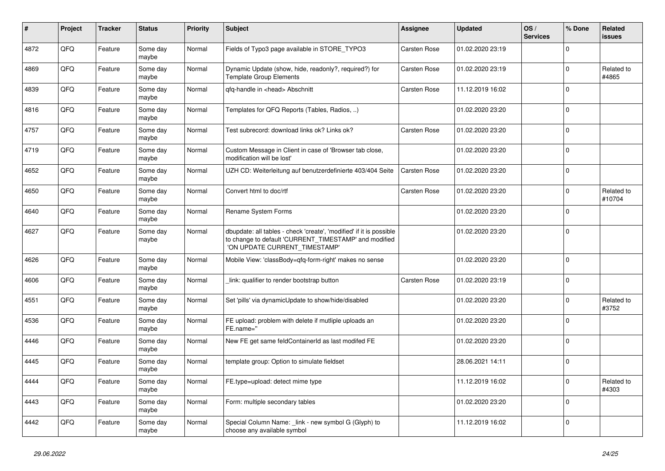| #    | Project | <b>Tracker</b> | <b>Status</b>     | <b>Priority</b> | <b>Subject</b>                                                                                                                                                | Assignee            | <b>Updated</b>   | OS/<br><b>Services</b> | % Done      | <b>Related</b><br><b>issues</b> |
|------|---------|----------------|-------------------|-----------------|---------------------------------------------------------------------------------------------------------------------------------------------------------------|---------------------|------------------|------------------------|-------------|---------------------------------|
| 4872 | QFQ     | Feature        | Some day<br>maybe | Normal          | Fields of Typo3 page available in STORE_TYPO3                                                                                                                 | <b>Carsten Rose</b> | 01.02.2020 23:19 |                        | $\mathbf 0$ |                                 |
| 4869 | QFQ     | Feature        | Some day<br>maybe | Normal          | Dynamic Update (show, hide, readonly?, required?) for<br><b>Template Group Elements</b>                                                                       | Carsten Rose        | 01.02.2020 23:19 |                        | $\mathbf 0$ | Related to<br>#4865             |
| 4839 | QFQ     | Feature        | Some day<br>maybe | Normal          | qfq-handle in <head> Abschnitt</head>                                                                                                                         | Carsten Rose        | 11.12.2019 16:02 |                        | $\Omega$    |                                 |
| 4816 | QFQ     | Feature        | Some day<br>maybe | Normal          | Templates for QFQ Reports (Tables, Radios, )                                                                                                                  |                     | 01.02.2020 23:20 |                        | $\mathbf 0$ |                                 |
| 4757 | QFQ     | Feature        | Some day<br>maybe | Normal          | Test subrecord: download links ok? Links ok?                                                                                                                  | Carsten Rose        | 01.02.2020 23:20 |                        | $\mathbf 0$ |                                 |
| 4719 | QFQ     | Feature        | Some day<br>maybe | Normal          | Custom Message in Client in case of 'Browser tab close,<br>modification will be lost'                                                                         |                     | 01.02.2020 23:20 |                        | $\Omega$    |                                 |
| 4652 | QFQ     | Feature        | Some day<br>maybe | Normal          | UZH CD: Weiterleitung auf benutzerdefinierte 403/404 Seite                                                                                                    | Carsten Rose        | 01.02.2020 23:20 |                        | $\mathbf 0$ |                                 |
| 4650 | QFQ     | Feature        | Some day<br>maybe | Normal          | Convert html to doc/rtf                                                                                                                                       | Carsten Rose        | 01.02.2020 23:20 |                        | $\mathbf 0$ | Related to<br>#10704            |
| 4640 | QFQ     | Feature        | Some day<br>maybe | Normal          | Rename System Forms                                                                                                                                           |                     | 01.02.2020 23:20 |                        | $\Omega$    |                                 |
| 4627 | QFQ     | Feature        | Some day<br>maybe | Normal          | dbupdate: all tables - check 'create', 'modified' if it is possible<br>to change to default 'CURRENT_TIMESTAMP' and modified<br>'ON UPDATE CURRENT TIMESTAMP' |                     | 01.02.2020 23:20 |                        | $\mathbf 0$ |                                 |
| 4626 | QFQ     | Feature        | Some day<br>maybe | Normal          | Mobile View: 'classBody=qfq-form-right' makes no sense                                                                                                        |                     | 01.02.2020 23:20 |                        | $\Omega$    |                                 |
| 4606 | QFQ     | Feature        | Some day<br>maybe | Normal          | link: qualifier to render bootstrap button                                                                                                                    | <b>Carsten Rose</b> | 01.02.2020 23:19 |                        | $\mathbf 0$ |                                 |
| 4551 | QFQ     | Feature        | Some day<br>maybe | Normal          | Set 'pills' via dynamicUpdate to show/hide/disabled                                                                                                           |                     | 01.02.2020 23:20 |                        | $\mathbf 0$ | Related to<br>#3752             |
| 4536 | QFQ     | Feature        | Some day<br>maybe | Normal          | FE upload: problem with delete if mutliple uploads an<br>FE.name="                                                                                            |                     | 01.02.2020 23:20 |                        | $\mathbf 0$ |                                 |
| 4446 | QFQ     | Feature        | Some day<br>maybe | Normal          | New FE get same feldContainerId as last modifed FE                                                                                                            |                     | 01.02.2020 23:20 |                        | $\mathbf 0$ |                                 |
| 4445 | QFQ     | Feature        | Some day<br>maybe | Normal          | template group: Option to simulate fieldset                                                                                                                   |                     | 28.06.2021 14:11 |                        | $\mathbf 0$ |                                 |
| 4444 | QFQ     | Feature        | Some day<br>maybe | Normal          | FE.type=upload: detect mime type                                                                                                                              |                     | 11.12.2019 16:02 |                        | $\Omega$    | Related to<br>#4303             |
| 4443 | QFQ     | Feature        | Some day<br>maybe | Normal          | Form: multiple secondary tables                                                                                                                               |                     | 01.02.2020 23:20 |                        | $\Omega$    |                                 |
| 4442 | QFQ     | Feature        | Some day<br>maybe | Normal          | Special Column Name: link - new symbol G (Glyph) to<br>choose any available symbol                                                                            |                     | 11.12.2019 16:02 |                        | $\mathbf 0$ |                                 |